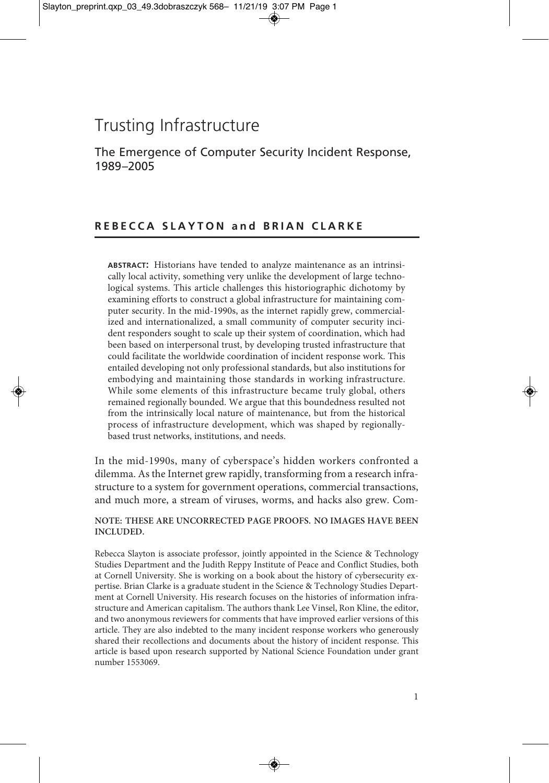# Trusting Infrastructure

The Emergence of Computer Security Incident Response, 1989–2005

# REBECCA SLAYTON and BRIAN CLARKE

**ABSTRACT:** Historians have tended to analyze maintenance as an intrinsically local activity, something very unlike the development of large technological systems. This article challenges this historiographic dichotomy by examining efforts to construct a global infrastructure for maintaining computer security. In the mid-1990s, as the internet rapidly grew, commercialized and internationalized, a small community of computer security incident responders sought to scale up their system of coordination, which had been based on interpersonal trust, by developing trusted infrastructure that could facilitate the worldwide coordination of incident response work. This entailed developing not only professional standards, but also institutions for embodying and maintaining those standards in working infrastructure. While some elements of this infrastructure became truly global, others remained regionally bounded. We argue that this boundedness resulted not from the intrinsically local nature of maintenance, but from the historical process of infrastructure development, which was shaped by regionallybased trust networks, institutions, and needs.

In the mid-1990s, many of cyberspace's hidden workers confronted a dilemma. As the Internet grew rapidly, transforming from a research infrastructure to a system for government operations, commercial transactions, and much more, a stream of viruses, worms, and hacks also grew. Com-

**NOTE: THESE ARE UNCORRECTED PAGE PROOFS. NO IMAGES HAVE BEEN INCLUDED.**

Rebecca Slayton is associate professor, jointly appointed in the Science & Technology Studies Department and the Judith Reppy Institute of Peace and Conflict Studies, both at Cornell University. She is working on a book about the history of cybersecurity expertise. Brian Clarke is a graduate student in the Science & Technology Studies Department at Cornell University. His research focuses on the histories of information infrastructure and American capitalism. The authors thank Lee Vinsel, Ron Kline, the editor, and two anonymous reviewers for comments that have improved earlier versions of this article. They are also indebted to the many incident response workers who generously shared their recollections and documents about the history of incident response. This article is based upon research supported by National Science Foundation under grant number 1553069.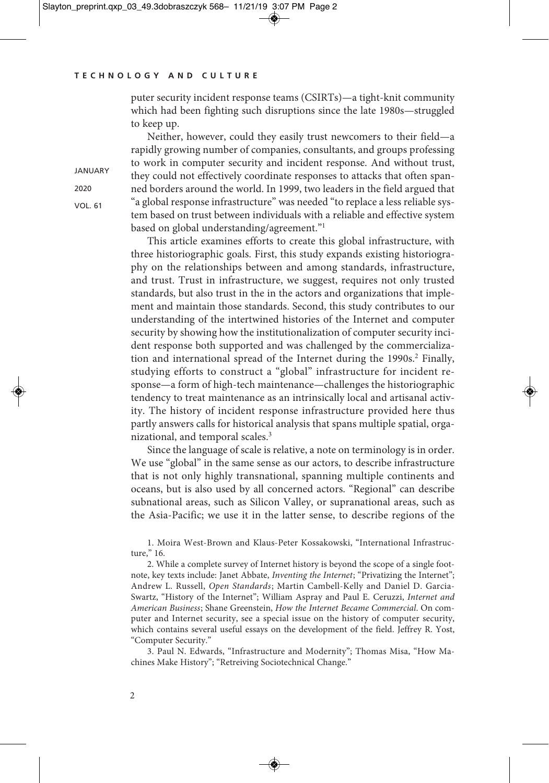puter security incident response teams (CSIRTs)—a tight-knit community which had been fighting such disruptions since the late 1980s—struggled to keep up.

Neither, however, could they easily trust newcomers to their field—a rapidly growing number of companies, consultants, and groups professing to work in computer security and incident response. And without trust, they could not effectively coordinate responses to attacks that often spanned borders around the world. In 1999, two leaders in the field argued that "a global response infrastructure" was needed "to replace a less reliable system based on trust between individuals with a reliable and effective system based on global understanding/agreement."1

This article examines efforts to create this global infrastructure, with three historiographic goals. First, this study expands existing historiography on the relationships between and among standards, infrastructure, and trust. Trust in infrastructure, we suggest, requires not only trusted standards, but also trust in the in the actors and organizations that implement and maintain those standards. Second, this study contributes to our understanding of the intertwined histories of the Internet and computer security by showing how the institutionalization of computer security incident response both supported and was challenged by the commercialization and international spread of the Internet during the 1990s. <sup>2</sup> Finally, studying efforts to construct a "global" infrastructure for incident response—a form of high-tech maintenance—challenges the historiographic tendency to treat maintenance as an intrinsically local and artisanal activity. The history of incident response infrastructure provided here thus partly answers calls for historical analysis that spans multiple spatial, organizational, and temporal scales. 3

Since the language of scale is relative, a note on terminology is in order. We use "global" in the same sense as our actors, to describe infrastructure that is not only highly transnational, spanning multiple continents and oceans, but is also used by all concerned actors. "Regional" can describe subnational areas, such as Silicon Valley, or supranational areas, such as the Asia-Pacific; we use it in the latter sense, to describe regions of the

1. Moira West-Brown and Klaus-Peter Kossakowski, "International Infrastructure," 16.

2. While a complete survey of Internet history is beyond the scope of a single footnote, key texts include: Janet Abbate, *Inventing the Internet*; "Privatizing the Internet"; Andrew L. Russell, *Open Standards*; Martin Cambell-Kelly and Daniel D. Garcia-Swartz, "History of the Internet"; William Aspray and Paul E. Ceruzzi, *Internet and American Business*; Shane Greenstein, *How the Internet Became Commercial*. On computer and Internet security, see a special issue on the history of computer security, which contains several useful essays on the development of the field. Jeffrey R. Yost, "Computer Security."

3. Paul N. Edwards, "Infrastructure and Modernity"; Thomas Misa, "How Machines Make History"; "Retreiving Sociotechnical Change."

2020

VOL. 61

**JANUARY**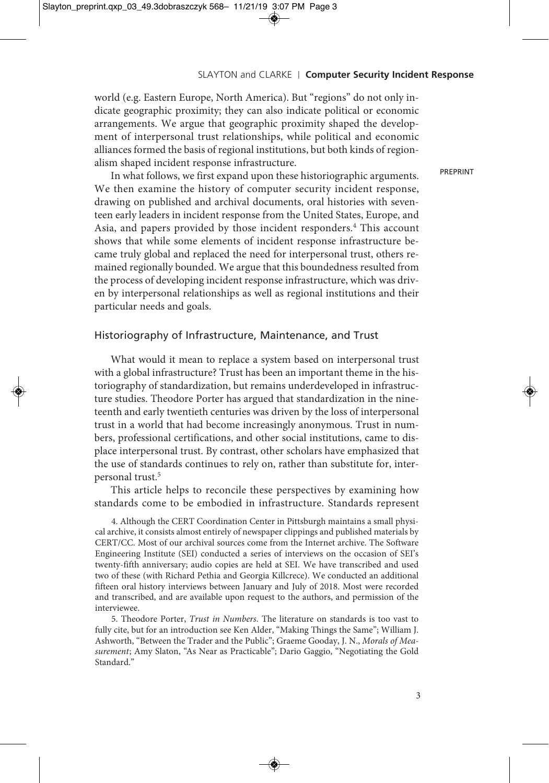world (e.g. Eastern Europe, North America). But "regions" do not only indicate geographic proximity; they can also indicate political or economic arrangements. We argue that geographic proximity shaped the development of interpersonal trust relationships, while political and economic alliances formed the basis of regional institutions, but both kinds of regionalism shaped incident response infrastructure.

PREPRINT

In what follows, we first expand upon these historiographic arguments. We then examine the history of computer security incident response, drawing on published and archival documents, oral histories with seventeen early leaders in incident response from the United States, Europe, and Asia, and papers provided by those incident responders. <sup>4</sup> This account shows that while some elements of incident response infrastructure became truly global and replaced the need for interpersonal trust, others remained regionally bounded. We argue that this boundedness resulted from the process of developing incident response infrastructure, which was driven by interpersonal relationships as well as regional institutions and their particular needs and goals.

## Historiography of Infrastructure, Maintenance, and Trust

What would it mean to replace a system based on interpersonal trust with a global infrastructure? Trust has been an important theme in the historiography of standardization, but remains underdeveloped in infrastructure studies. Theodore Porter has argued that standardization in the nineteenth and early twentieth centuries was driven by the loss of interpersonal trust in a world that had become increasingly anonymous. Trust in numbers, professional certifications, and other social institutions, came to displace interpersonal trust. By contrast, other scholars have emphasized that the use of standards continues to rely on, rather than substitute for, interpersonal trust. 5

This article helps to reconcile these perspectives by examining how standards come to be embodied in infrastructure. Standards represent

4. Although the CERT Coordination Center in Pittsburgh maintains a small physical archive, it consists almost entirely of newspaper clippings and published materials by CERT/CC. Most of our archival sources come from the Internet archive. The Software Engineering Institute (SEI) conducted a series of interviews on the occasion of SEI's twenty-fifth anniversary; audio copies are held at SEI. We have transcribed and used two of these (with Richard Pethia and Georgia Killcrece). We conducted an additional fifteen oral history interviews between January and July of 2018. Most were recorded and transcribed, and are available upon request to the authors, and permission of the interviewee.

5. Theodore Porter, *Trust in Numbers*. The literature on standards is too vast to fully cite, but for an introduction see Ken Alder, "Making Things the Same"; William J. Ashworth, "Between the Trader and the Public"; Graeme Gooday, J. N., *Morals of Measurement*; Amy Slaton, "As Near as Practicable"; Dario Gaggio, "Negotiating the Gold Standard."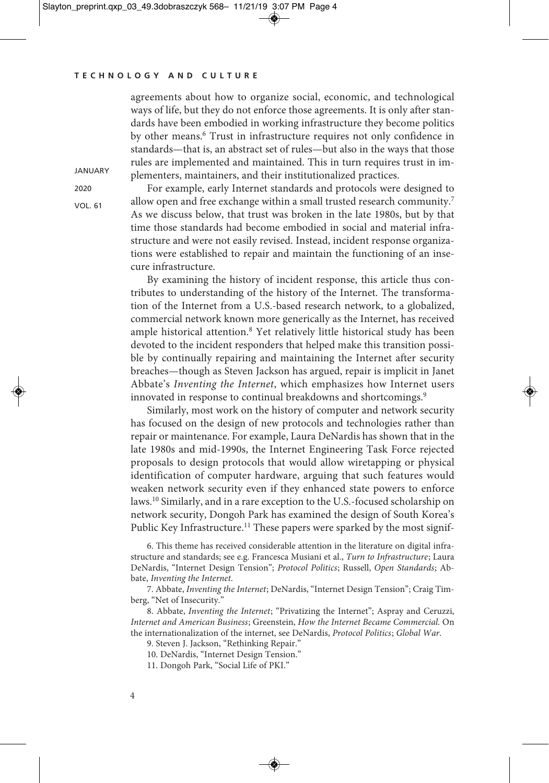agreements about how to organize social, economic, and technological ways of life, but they do not enforce those agreements. It is only after standards have been embodied in working infrastructure they become politics by other means. <sup>6</sup> Trust in infrastructure requires not only confidence in standards—that is, an abstract set of rules—but also in the ways that those rules are implemented and maintained. This in turn requires trust in implementers, maintainers, and their institutionalized practices.

2020

VOL. 61

**JANUARY** 

For example, early Internet standards and protocols were designed to allow open and free exchange within a small trusted research community. 7 As we discuss below, that trust was broken in the late 1980s, but by that time those standards had become embodied in social and material infrastructure and were not easily revised. Instead, incident response organizations were established to repair and maintain the functioning of an insecure infrastructure.

By examining the history of incident response, this article thus contributes to understanding of the history of the Internet. The transformation of the Internet from a U.S.-based research network, to a globalized, commercial network known more generically as the Internet, has received ample historical attention. <sup>8</sup> Yet relatively little historical study has been devoted to the incident responders that helped make this transition possible by continually repairing and maintaining the Internet after security breaches—though as Steven Jackson has argued, repair is implicit in Janet Abbate's *Inventing the Internet*, which emphasizes how Internet users innovated in response to continual breakdowns and shortcomings.<sup>9</sup>

Similarly, most work on the history of computer and network security has focused on the design of new protocols and technologies rather than repair or maintenance. For example, Laura DeNardis has shown that in the late 1980s and mid-1990s, the Internet Engineering Task Force rejected proposals to design protocols that would allow wiretapping or physical identification of computer hardware, arguing that such features would weaken network security even if they enhanced state powers to enforce laws. <sup>10</sup> Similarly, and in a rare exception to the U.S.-focused scholarship on network security, Dongoh Park has examined the design of South Korea's Public Key Infrastructure.<sup>11</sup> These papers were sparked by the most signif-

6. This theme has received considerable attention in the literature on digital infrastructure and standards; see e.g. Francesca Musiani et al., *Turn to Infrastructure*; Laura DeNardis, "Internet Design Tension"; *Protocol Politics*; Russell, *Open Standards*; Abbate, *Inventing the Internet*.

7. Abbate, *Inventing the Internet*; DeNardis, "Internet Design Tension"; Craig Timberg, "Net of Insecurity."

8. Abbate, *Inventing the Internet*; "Privatizing the Internet"; Aspray and Ceruzzi, *Internet and American Business*; Greenstein, *How the Internet Became Commercial.* On the internationalization of the internet, see DeNardis, *Protocol Politics*; *Global War*.

9. Steven J. Jackson, "Rethinking Repair."

10. DeNardis, "Internet Design Tension."

11. Dongoh Park, "Social Life of PKI."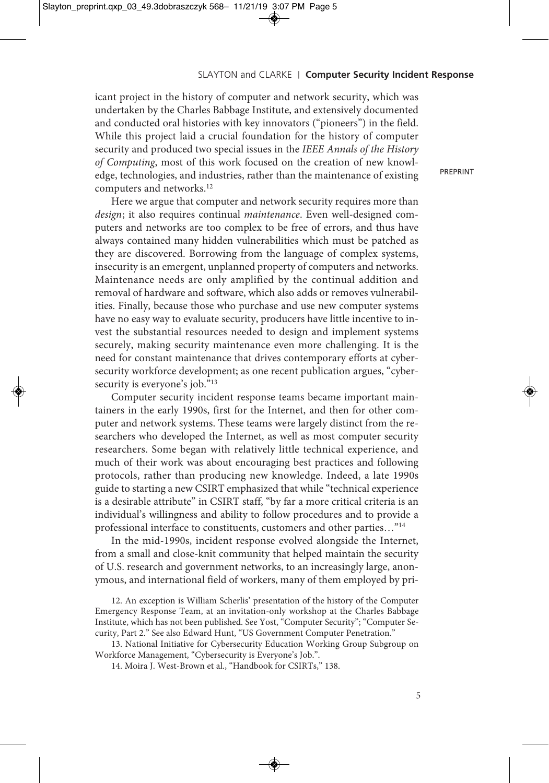icant project in the history of computer and network security, which was undertaken by the Charles Babbage Institute, and extensively documented and conducted oral histories with key innovators ("pioneers") in the field. While this project laid a crucial foundation for the history of computer security and produced two special issues in the *IEEE Annals of the History of Computing*, most of this work focused on the creation of new knowledge, technologies, and industries, rather than the maintenance of existing computers and networks. 12

Here we argue that computer and network security requires more than *design*; it also requires continual *maintenance*. Even well-designed computers and networks are too complex to be free of errors, and thus have always contained many hidden vulnerabilities which must be patched as they are discovered. Borrowing from the language of complex systems, insecurity is an emergent, unplanned property of computers and networks. Maintenance needs are only amplified by the continual addition and removal of hardware and software, which also adds or removes vulnerabilities. Finally, because those who purchase and use new computer systems have no easy way to evaluate security, producers have little incentive to invest the substantial resources needed to design and implement systems securely, making security maintenance even more challenging. It is the need for constant maintenance that drives contemporary efforts at cybersecurity workforce development; as one recent publication argues, "cybersecurity is everyone's job."<sup>13</sup>

Computer security incident response teams became important maintainers in the early 1990s, first for the Internet, and then for other computer and network systems. These teams were largely distinct from the researchers who developed the Internet, as well as most computer security researchers. Some began with relatively little technical experience, and much of their work was about encouraging best practices and following protocols, rather than producing new knowledge. Indeed, a late 1990s guide to starting a new CSIRT emphasized that while "technical experience is a desirable attribute" in CSIRT staff, "by far a more critical criteria is an individual's willingness and ability to follow procedures and to provide a professional interface to constituents, customers and other parties…"14

In the mid-1990s, incident response evolved alongside the Internet, from a small and close-knit community that helped maintain the security of U.S. research and government networks, to an increasingly large, anonymous, and international field of workers, many of them employed by pri-

12. An exception is William Scherlis' presentation of the history of the Computer Emergency Response Team, at an invitation-only workshop at the Charles Babbage Institute, which has not been published. See Yost, "Computer Security"; "Computer Security, Part 2." See also Edward Hunt, "US Government Computer Penetration."

13. National Initiative for Cybersecurity Education Working Group Subgroup on Workforce Management, "Cybersecurity is Everyone's Job.".

14. Moira J. West-Brown et al., "Handbook for CSIRTs," 138.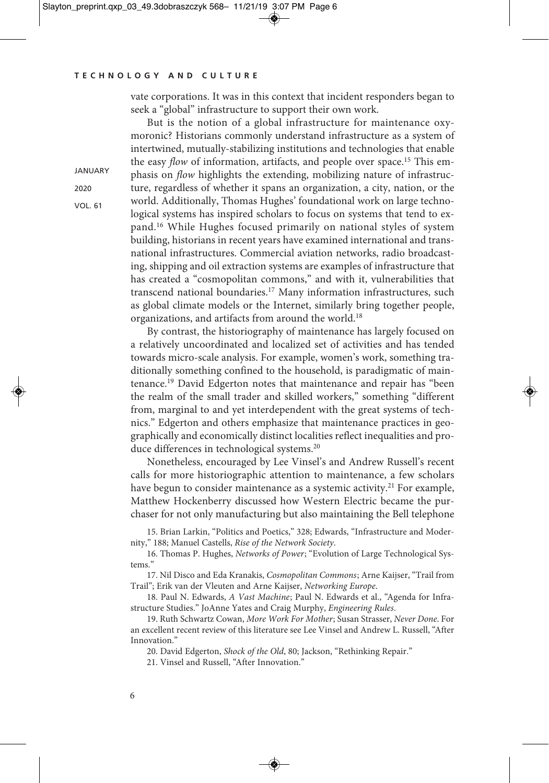**JANUARY** 2020 VOL. 61

vate corporations. It was in this context that incident responders began to seek a "global" infrastructure to support their own work.

But is the notion of a global infrastructure for maintenance oxymoronic? Historians commonly understand infrastructure as a system of intertwined, mutually-stabilizing institutions and technologies that enable the easy *flow* of information, artifacts, and people over space.<sup>15</sup> This emphasis on *flow* highlights the extending, mobilizing nature of infrastructure, regardless of whether it spans an organization, a city, nation, or the world. Additionally, Thomas Hughes' foundational work on large technological systems has inspired scholars to focus on systems that tend to expand. <sup>16</sup> While Hughes focused primarily on national styles of system building, historians in recent years have examined international and transnational infrastructures. Commercial aviation networks, radio broadcasting, shipping and oil extraction systems are examples of infrastructure that has created a "cosmopolitan commons," and with it, vulnerabilities that transcend national boundaries. <sup>17</sup> Many information infrastructures, such as global climate models or the Internet, similarly bring together people, organizations, and artifacts from around the world. 18

By contrast, the historiography of maintenance has largely focused on a relatively uncoordinated and localized set of activities and has tended towards micro-scale analysis. For example, women's work, something traditionally something confined to the household, is paradigmatic of maintenance. <sup>19</sup> David Edgerton notes that maintenance and repair has "been the realm of the small trader and skilled workers," something "different from, marginal to and yet interdependent with the great systems of technics." Edgerton and others emphasize that maintenance practices in geographically and economically distinct localities reflect inequalities and produce differences in technological systems. 20

Nonetheless, encouraged by Lee Vinsel's and Andrew Russell's recent calls for more historiographic attention to maintenance, a few scholars have begun to consider maintenance as a systemic activity.<sup>21</sup> For example, Matthew Hockenberry discussed how Western Electric became the purchaser for not only manufacturing but also maintaining the Bell telephone

15. Brian Larkin, "Politics and Poetics," 328; Edwards, "Infrastructure and Modernity," 188; Manuel Castells, *Rise of the Network Society*.

16. Thomas P. Hughes, *Networks of Power*; "Evolution of Large Technological Systems."

17. Nil Disco and Eda Kranakis, *Cosmopolitan Commons*; Arne Kaijser, "Trail from Trail"; Erik van der Vleuten and Arne Kaijser, *Networking Europe*.

18. Paul N. Edwards, *A Vast Machine*; Paul N. Edwards et al., "Agenda for Infrastructure Studies." JoAnne Yates and Craig Murphy, *Engineering Rules*.

19. Ruth Schwartz Cowan, *More Work For Mother*; Susan Strasser, *Never Done*. For an excellent recent review of this literature see Lee Vinsel and Andrew L. Russell, "After Innovation."

20. David Edgerton, *Shock of the Old*, 80; Jackson, "Rethinking Repair."

21. Vinsel and Russell, "After Innovation."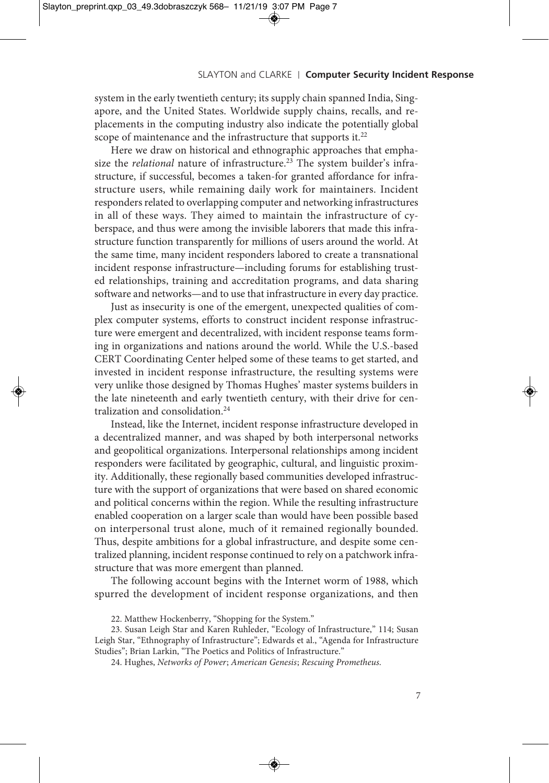system in the early twentieth century; its supply chain spanned India, Singapore, and the United States. Worldwide supply chains, recalls, and replacements in the computing industry also indicate the potentially global scope of maintenance and the infrastructure that supports it.<sup>22</sup>

Here we draw on historical and ethnographic approaches that emphasize the *relational* nature of infrastructure. <sup>23</sup> The system builder's infrastructure, if successful, becomes a taken-for granted affordance for infrastructure users, while remaining daily work for maintainers. Incident responders related to overlapping computer and networking infrastructures in all of these ways. They aimed to maintain the infrastructure of cyberspace, and thus were among the invisible laborers that made this infrastructure function transparently for millions of users around the world. At the same time, many incident responders labored to create a transnational incident response infrastructure—including forums for establishing trusted relationships, training and accreditation programs, and data sharing software and networks—and to use that infrastructure in every day practice.

Just as insecurity is one of the emergent, unexpected qualities of complex computer systems, efforts to construct incident response infrastructure were emergent and decentralized, with incident response teams forming in organizations and nations around the world. While the U.S.-based CERT Coordinating Center helped some of these teams to get started, and invested in incident response infrastructure, the resulting systems were very unlike those designed by Thomas Hughes' master systems builders in the late nineteenth and early twentieth century, with their drive for centralization and consolidation. 24

Instead, like the Internet, incident response infrastructure developed in a decentralized manner, and was shaped by both interpersonal networks and geopolitical organizations. Interpersonal relationships among incident responders were facilitated by geographic, cultural, and linguistic proximity. Additionally, these regionally based communities developed infrastructure with the support of organizations that were based on shared economic and political concerns within the region. While the resulting infrastructure enabled cooperation on a larger scale than would have been possible based on interpersonal trust alone, much of it remained regionally bounded. Thus, despite ambitions for a global infrastructure, and despite some centralized planning, incident response continued to rely on a patchwork infrastructure that was more emergent than planned.

The following account begins with the Internet worm of 1988, which spurred the development of incident response organizations, and then

<sup>22.</sup> Matthew Hockenberry, "Shopping for the System."

<sup>23.</sup> Susan Leigh Star and Karen Ruhleder, "Ecology of Infrastructure," 114; Susan Leigh Star, "Ethnography of Infrastructure"; Edwards et al., "Agenda for Infrastructure Studies"; Brian Larkin, "The Poetics and Politics of Infrastructure."

<sup>24.</sup> Hughes, *Networks of Power*; *American Genesis*; *Rescuing Prometheus*.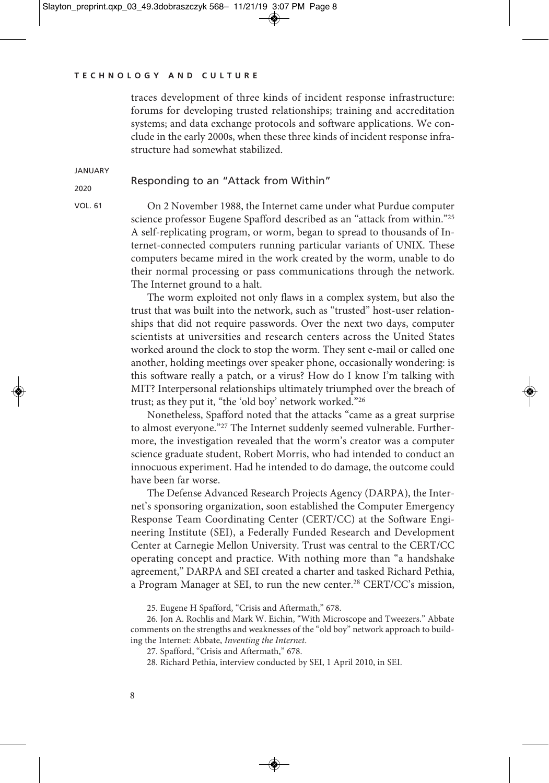traces development of three kinds of incident response infrastructure: forums for developing trusted relationships; training and accreditation systems; and data exchange protocols and software applications. We conclude in the early 2000s, when these three kinds of incident response infrastructure had somewhat stabilized.

**JANUARY** 

## Responding to an "Attack from Within"

2020 VOL. 61

On 2 November 1988, the Internet came under what Purdue computer science professor Eugene Spafford described as an "attack from within."25 A self-replicating program, or worm, began to spread to thousands of Internet-connected computers running particular variants of UNIX. These computers became mired in the work created by the worm, unable to do their normal processing or pass communications through the network. The Internet ground to a halt.

The worm exploited not only flaws in a complex system, but also the trust that was built into the network, such as "trusted" host-user relationships that did not require passwords. Over the next two days, computer scientists at universities and research centers across the United States worked around the clock to stop the worm. They sent e-mail or called one another, holding meetings over speaker phone, occasionally wondering: is this software really a patch, or a virus? How do I know I'm talking with MIT? Interpersonal relationships ultimately triumphed over the breach of trust; as they put it, "the 'old boy' network worked."26

Nonetheless, Spafford noted that the attacks "came as a great surprise to almost everyone."27 The Internet suddenly seemed vulnerable. Furthermore, the investigation revealed that the worm's creator was a computer science graduate student, Robert Morris, who had intended to conduct an innocuous experiment. Had he intended to do damage, the outcome could have been far worse.

The Defense Advanced Research Projects Agency (DARPA), the Internet's sponsoring organization, soon established the Computer Emergency Response Team Coordinating Center (CERT/CC) at the Software Engineering Institute (SEI), a Federally Funded Research and Development Center at Carnegie Mellon University. Trust was central to the CERT/CC operating concept and practice. With nothing more than "a handshake agreement," DARPA and SEI created a charter and tasked Richard Pethia, a Program Manager at SEI, to run the new center.<sup>28</sup> CERT/CC's mission,

25. Eugene H Spafford, "Crisis and Aftermath," 678.

26. Jon A. Rochlis and Mark W. Eichin, "With Microscope and Tweezers." Abbate comments on the strengths and weaknesses of the "old boy" network approach to building the Internet: Abbate, *Inventing the Internet*.

28. Richard Pethia, interview conducted by SEI, 1 April 2010, in SEI.

<sup>27.</sup> Spafford, "Crisis and Aftermath," 678.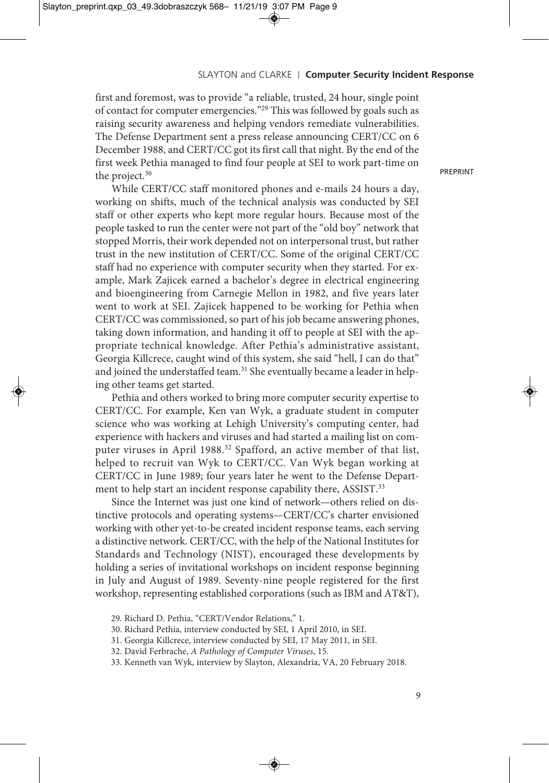first and foremost, was to provide "a reliable, trusted, 24 hour, single point of contact for computer emergencies."29 This was followed by goals such as raising security awareness and helping vendors remediate vulnerabilities. The Defense Department sent a press release announcing CERT/CC on 6 December 1988, and CERT/CC got its first call that night. By the end of the first week Pethia managed to find four people at SEI to work part-time on the project. 30

While CERT/CC staff monitored phones and e-mails 24 hours a day, working on shifts, much of the technical analysis was conducted by SEI staff or other experts who kept more regular hours. Because most of the people tasked to run the center were not part of the "old boy" network that stopped Morris, their work depended not on interpersonal trust, but rather trust in the new institution of CERT/CC. Some of the original CERT/CC staff had no experience with computer security when they started. For example, Mark Zajicek earned a bachelor's degree in electrical engineering and bioengineering from Carnegie Mellon in 1982, and five years later went to work at SEI. Zajicek happened to be working for Pethia when CERT/CC was commissioned, so part of his job became answering phones, taking down information, and handing it off to people at SEI with the appropriate technical knowledge. After Pethia's administrative assistant, Georgia Killcrece, caught wind of this system, she said "hell, I can do that" and joined the understaffed team. <sup>31</sup> She eventually became a leader in helping other teams get started.

Pethia and others worked to bring more computer security expertise to CERT/CC. For example, Ken van Wyk, a graduate student in computer science who was working at Lehigh University's computing center, had experience with hackers and viruses and had started a mailing list on computer viruses in April 1988. <sup>32</sup> Spafford, an active member of that list, helped to recruit van Wyk to CERT/CC. Van Wyk began working at CERT/CC in June 1989; four years later he went to the Defense Department to help start an incident response capability there, ASSIST.<sup>33</sup>

Since the Internet was just one kind of network—others relied on distinctive protocols and operating systems—CERT/CC's charter envisioned working with other yet-to-be created incident response teams, each serving a distinctive network. CERT/CC, with the help of the National Institutes for Standards and Technology (NIST), encouraged these developments by holding a series of invitational workshops on incident response beginning in July and August of 1989. Seventy-nine people registered for the first workshop, representing established corporations (such as IBM and AT&T),

<sup>29.</sup> Richard D. Pethia, "CERT/Vendor Relations," 1.

<sup>30.</sup> Richard Pethia, interview conducted by SEI, 1 April 2010, in SEI.

<sup>31.</sup> Georgia Killcrece, interview conducted by SEI, 17 May 2011, in SEI.

<sup>32.</sup> David Ferbrache, *A Pathology of Computer Viruses*, 15.

<sup>33.</sup> Kenneth van Wyk, interview by Slayton, Alexandria, VA, 20 February 2018.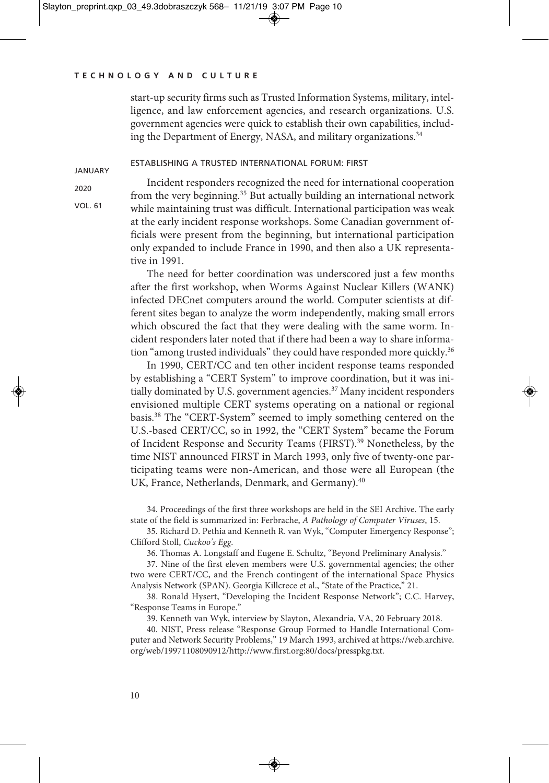start-up security firms such as Trusted Information Systems, military, intelligence, and law enforcement agencies, and research organizations. U.S. government agencies were quick to establish their own capabilities, including the Department of Energy, NASA, and military organizations. 34

## ESTABLISHING A TRUSTED INTERNATIONAL FORUM: FIRST

2020

VOL. 61

JANUARY

Incident responders recognized the need for international cooperation from the very beginning. <sup>35</sup> But actually building an international network while maintaining trust was difficult. International participation was weak at the early incident response workshops. Some Canadian government officials were present from the beginning, but international participation only expanded to include France in 1990, and then also a UK representative in 1991.

The need for better coordination was underscored just a few months after the first workshop, when Worms Against Nuclear Killers (WANK) infected DECnet computers around the world. Computer scientists at different sites began to analyze the worm independently, making small errors which obscured the fact that they were dealing with the same worm. Incident responders later noted that if there had been a way to share information "among trusted individuals" they could have responded more quickly.<sup>36</sup>

In 1990, CERT/CC and ten other incident response teams responded by establishing a "CERT System" to improve coordination, but it was initially dominated by U.S. government agencies. <sup>37</sup> Many incident responders envisioned multiple CERT systems operating on a national or regional basis. <sup>38</sup> The "CERT-System" seemed to imply something centered on the U.S.-based CERT/CC, so in 1992, the "CERT System" became the Forum of Incident Response and Security Teams (FIRST). <sup>39</sup> Nonetheless, by the time NIST announced FIRST in March 1993, only five of twenty-one participating teams were non-American, and those were all European (the UK, France, Netherlands, Denmark, and Germany).<sup>40</sup>

34. Proceedings of the first three workshops are held in the SEI Archive. The early state of the field is summarized in: Ferbrache, *A Pathology of Computer Viruses*, 15.

35. Richard D. Pethia and Kenneth R. van Wyk, "Computer Emergency Response"; Clifford Stoll, *Cuckoo's Egg*.

36. Thomas A. Longstaff and Eugene E. Schultz, "Beyond Preliminary Analysis."

37. Nine of the first eleven members were U.S. governmental agencies; the other two were CERT/CC, and the French contingent of the international Space Physics Analysis Network (SPAN). Georgia Killcrece et al., "State of the Practice," 21.

38. Ronald Hysert, "Developing the Incident Response Network"; C.C. Harvey, "Response Teams in Europe."

39. Kenneth van Wyk, interview by Slayton, Alexandria, VA, 20 February 2018.

40. NIST, Press release "Response Group Formed to Handle International Computer and Network Security Problems," 19 March 1993, archived at https://web.archive. org/web/19971108090912/http://www.first.org:80/docs/presspkg.txt.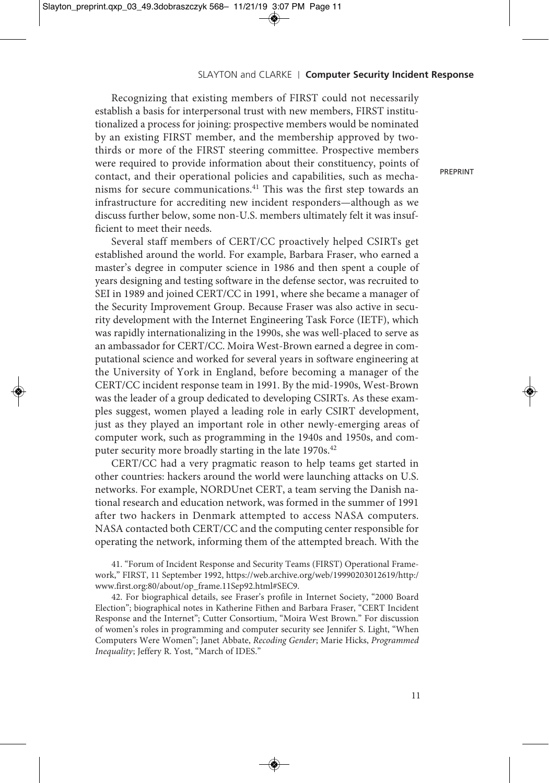Recognizing that existing members of FIRST could not necessarily establish a basis for interpersonal trust with new members, FIRST institutionalized a process for joining: prospective members would be nominated by an existing FIRST member, and the membership approved by twothirds or more of the FIRST steering committee. Prospective members were required to provide information about their constituency, points of contact, and their operational policies and capabilities, such as mechanisms for secure communications. <sup>41</sup> This was the first step towards an infrastructure for accrediting new incident responders—although as we discuss further below, some non-U.S. members ultimately felt it was insufficient to meet their needs.

Several staff members of CERT/CC proactively helped CSIRTs get established around the world. For example, Barbara Fraser, who earned a master's degree in computer science in 1986 and then spent a couple of years designing and testing software in the defense sector, was recruited to SEI in 1989 and joined CERT/CC in 1991, where she became a manager of the Security Improvement Group. Because Fraser was also active in security development with the Internet Engineering Task Force (IETF), which was rapidly internationalizing in the 1990s, she was well-placed to serve as an ambassador for CERT/CC. Moira West-Brown earned a degree in computational science and worked for several years in software engineering at the University of York in England, before becoming a manager of the CERT/CC incident response team in 1991. By the mid-1990s, West-Brown was the leader of a group dedicated to developing CSIRTs. As these examples suggest, women played a leading role in early CSIRT development, just as they played an important role in other newly-emerging areas of computer work, such as programming in the 1940s and 1950s, and computer security more broadly starting in the late 1970s. 42

CERT/CC had a very pragmatic reason to help teams get started in other countries: hackers around the world were launching attacks on U.S. networks. For example, NORDUnet CERT, a team serving the Danish national research and education network, was formed in the summer of 1991 after two hackers in Denmark attempted to access NASA computers. NASA contacted both CERT/CC and the computing center responsible for operating the network, informing them of the attempted breach. With the

41. "Forum of Incident Response and Security Teams (FIRST) Operational Framework," FIRST, 11 September 1992, https://web.archive.org/web/19990203012619/http:/ www.first.org:80/about/op\_frame.11Sep92.html#SEC9.

42. For biographical details, see Fraser's profile in Internet Society, "2000 Board Election"; biographical notes in Katherine Fithen and Barbara Fraser, "CERT Incident Response and the Internet"; Cutter Consortium, "Moira West Brown." For discussion of women's roles in programming and computer security see Jennifer S. Light, "When Computers Were Women"; Janet Abbate, *Recoding Gender*; Marie Hicks, *Programmed Inequality*; Jeffery R. Yost, "March of IDES."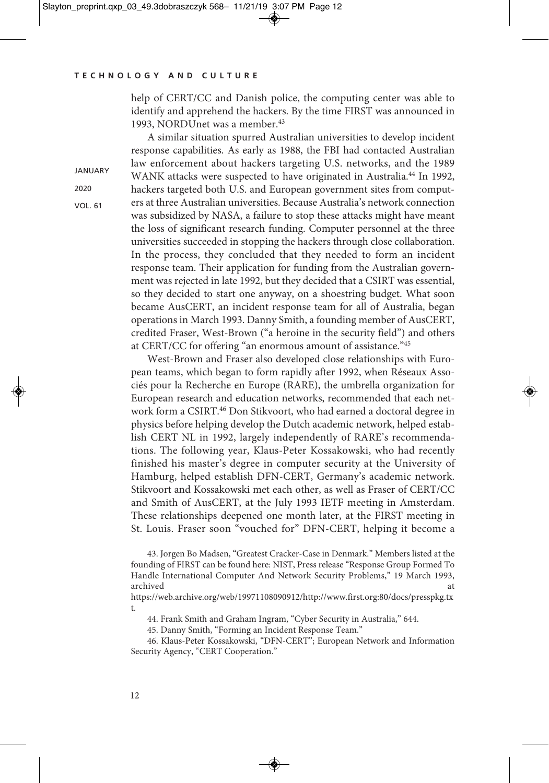**JANUARY** 2020 VOL. 61

help of CERT/CC and Danish police, the computing center was able to identify and apprehend the hackers. By the time FIRST was announced in 1993, NORDUnet was a member. 43

A similar situation spurred Australian universities to develop incident response capabilities. As early as 1988, the FBI had contacted Australian law enforcement about hackers targeting U.S. networks, and the 1989 WANK attacks were suspected to have originated in Australia. <sup>44</sup> In 1992, hackers targeted both U.S. and European government sites from computers at three Australian universities. Because Australia's network connection was subsidized by NASA, a failure to stop these attacks might have meant the loss of significant research funding. Computer personnel at the three universities succeeded in stopping the hackers through close collaboration. In the process, they concluded that they needed to form an incident response team. Their application for funding from the Australian government was rejected in late 1992, but they decided that a CSIRT was essential, so they decided to start one anyway, on a shoestring budget. What soon became AusCERT, an incident response team for all of Australia, began operations in March 1993. Danny Smith, a founding member of AusCERT, credited Fraser, West-Brown ("a heroine in the security field") and others at CERT/CC for offering "an enormous amount of assistance."45

West-Brown and Fraser also developed close relationships with European teams, which began to form rapidly after 1992, when Réseaux Associés pour la Recherche en Europe (RARE), the umbrella organization for European research and education networks, recommended that each network form a CSIRT. <sup>46</sup> Don Stikvoort, who had earned a doctoral degree in physics before helping develop the Dutch academic network, helped establish CERT NL in 1992, largely independently of RARE's recommendations. The following year, Klaus-Peter Kossakowski, who had recently finished his master's degree in computer security at the University of Hamburg, helped establish DFN-CERT, Germany's academic network. Stikvoort and Kossakowski met each other, as well as Fraser of CERT/CC and Smith of AusCERT, at the July 1993 IETF meeting in Amsterdam. These relationships deepened one month later, at the FIRST meeting in St. Louis. Fraser soon "vouched for" DFN-CERT, helping it become a

45. Danny Smith, "Forming an Incident Response Team."

46. Klaus-Peter Kossakowski, "DFN-CERT"; European Network and Information Security Agency, "CERT Cooperation."

<sup>43.</sup> Jorgen Bo Madsen, "Greatest Cracker-Case in Denmark." Members listed at the founding of FIRST can be found here: NIST, Press release "Response Group Formed To Handle International Computer And Network Security Problems," 19 March 1993, archived at a state of the state of the state of the state of the state of the state of the state of the state of the state of the state of the state of the state of the state of the state of the state of the state of the

https://web.archive.org/web/19971108090912/http://www.first.org:80/docs/presspkg.tx t.

<sup>44.</sup> Frank Smith and Graham Ingram, "Cyber Security in Australia," 644.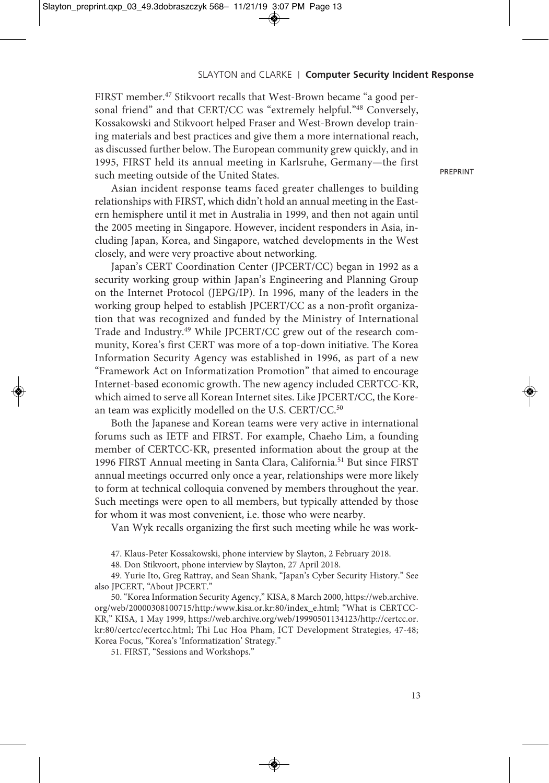FIRST member. <sup>47</sup> Stikvoort recalls that West-Brown became "a good personal friend" and that CERT/CC was "extremely helpful."48 Conversely, Kossakowski and Stikvoort helped Fraser and West-Brown develop training materials and best practices and give them a more international reach, as discussed further below. The European community grew quickly, and in 1995, FIRST held its annual meeting in Karlsruhe, Germany—the first such meeting outside of the United States.

PREPRINT

Asian incident response teams faced greater challenges to building relationships with FIRST, which didn't hold an annual meeting in the Eastern hemisphere until it met in Australia in 1999, and then not again until the 2005 meeting in Singapore. However, incident responders in Asia, including Japan, Korea, and Singapore, watched developments in the West closely, and were very proactive about networking.

Japan's CERT Coordination Center (JPCERT/CC) began in 1992 as a security working group within Japan's Engineering and Planning Group on the Internet Protocol (JEPG/IP). In 1996, many of the leaders in the working group helped to establish JPCERT/CC as a non-profit organization that was recognized and funded by the Ministry of International Trade and Industry. <sup>49</sup> While JPCERT/CC grew out of the research community, Korea's first CERT was more of a top-down initiative. The Korea Information Security Agency was established in 1996, as part of a new "Framework Act on Informatization Promotion" that aimed to encourage Internet-based economic growth. The new agency included CERTCC-KR, which aimed to serve all Korean Internet sites. Like JPCERT/CC, the Korean team was explicitly modelled on the U.S. CERT/CC.<sup>50</sup>

Both the Japanese and Korean teams were very active in international forums such as IETF and FIRST. For example, Chaeho Lim, a founding member of CERTCC-KR, presented information about the group at the 1996 FIRST Annual meeting in Santa Clara, California. <sup>51</sup> But since FIRST annual meetings occurred only once a year, relationships were more likely to form at technical colloquia convened by members throughout the year. Such meetings were open to all members, but typically attended by those for whom it was most convenient, i.e. those who were nearby.

Van Wyk recalls organizing the first such meeting while he was work-

47. Klaus-Peter Kossakowski, phone interview by Slayton, 2 February 2018.

48. Don Stikvoort, phone interview by Slayton, 27 April 2018.

49. Yurie Ito, Greg Rattray, and Sean Shank, "Japan's Cyber Security History." See also JPCERT, "About JPCERT."

50."Korea Information Security Agency," KISA, 8 March 2000, https://web.archive. org/web/20000308100715/http:/www.kisa.or.kr:80/index\_e.html; "What is CERTCC-KR," KISA, 1 May 1999, https://web.archive.org/web/19990501134123/http://certcc.or. kr:80/certcc/ecertcc.html; Thi Luc Hoa Pham, ICT Development Strategies, 47-48; Korea Focus, "Korea's 'Informatization' Strategy."

51. FIRST, "Sessions and Workshops."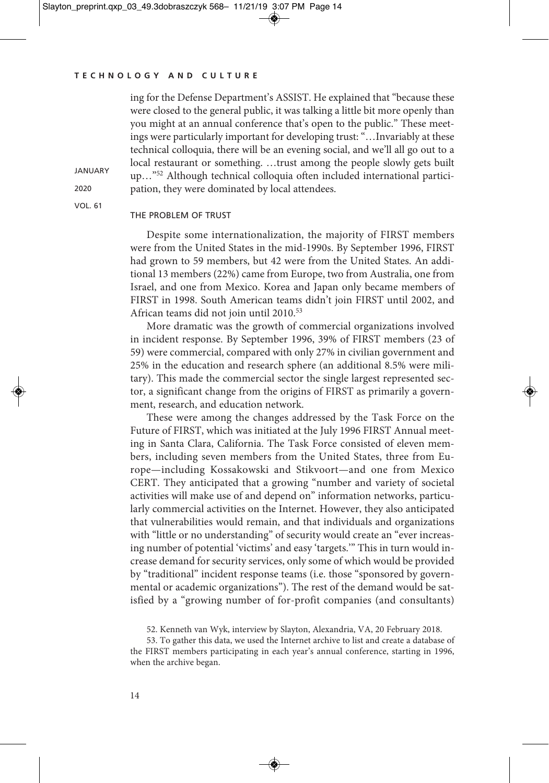ing for the Defense Department's ASSIST. He explained that "because these were closed to the general public, it was talking a little bit more openly than you might at an annual conference that's open to the public." These meetings were particularly important for developing trust: "…Invariably at these technical colloquia, there will be an evening social, and we'll all go out to a local restaurant or something. …trust among the people slowly gets built up…"52 Although technical colloquia often included international participation, they were dominated by local attendees.

VOL. 61

**JANUARY** 2020

## THE PROBLEM OF TRUST

Despite some internationalization, the majority of FIRST members were from the United States in the mid-1990s. By September 1996, FIRST had grown to 59 members, but 42 were from the United States. An additional 13 members (22%) came from Europe, two from Australia, one from Israel, and one from Mexico. Korea and Japan only became members of FIRST in 1998. South American teams didn't join FIRST until 2002, and African teams did not join until 2010. 53

More dramatic was the growth of commercial organizations involved in incident response. By September 1996, 39% of FIRST members (23 of 59) were commercial, compared with only 27% in civilian government and 25% in the education and research sphere (an additional 8.5% were military). This made the commercial sector the single largest represented sector, a significant change from the origins of FIRST as primarily a government, research, and education network.

These were among the changes addressed by the Task Force on the Future of FIRST, which was initiated at the July 1996 FIRST Annual meeting in Santa Clara, California. The Task Force consisted of eleven members, including seven members from the United States, three from Europe—including Kossakowski and Stikvoort—and one from Mexico CERT. They anticipated that a growing "number and variety of societal activities will make use of and depend on" information networks, particularly commercial activities on the Internet. However, they also anticipated that vulnerabilities would remain, and that individuals and organizations with "little or no understanding" of security would create an "ever increasing number of potential 'victims' and easy 'targets.'" This in turn would increase demand for security services, only some of which would be provided by "traditional" incident response teams (i.e. those "sponsored by governmental or academic organizations"). The rest of the demand would be satisfied by a "growing number of for-profit companies (and consultants)

52. Kenneth van Wyk, interview by Slayton, Alexandria, VA, 20 February 2018.

53. To gather this data, we used the Internet archive to list and create a database of the FIRST members participating in each year's annual conference, starting in 1996, when the archive began.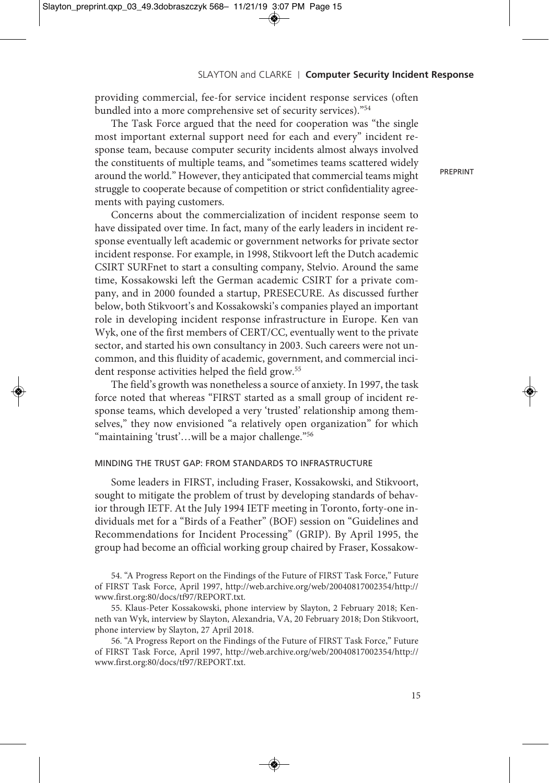providing commercial, fee-for service incident response services (often bundled into a more comprehensive set of security services)."54

The Task Force argued that the need for cooperation was "the single most important external support need for each and every" incident response team, because computer security incidents almost always involved the constituents of multiple teams, and "sometimes teams scattered widely around the world." However, they anticipated that commercial teams might struggle to cooperate because of competition or strict confidentiality agreements with paying customers.

Concerns about the commercialization of incident response seem to have dissipated over time. In fact, many of the early leaders in incident response eventually left academic or government networks for private sector incident response. For example, in 1998, Stikvoort left the Dutch academic CSIRT SURFnet to start a consulting company, Stelvio. Around the same time, Kossakowski left the German academic CSIRT for a private company, and in 2000 founded a startup, PRESECURE. As discussed further below, both Stikvoort's and Kossakowski's companies played an important role in developing incident response infrastructure in Europe. Ken van Wyk, one of the first members of CERT/CC, eventually went to the private sector, and started his own consultancy in 2003. Such careers were not uncommon, and this fluidity of academic, government, and commercial incident response activities helped the field grow.<sup>55</sup>

The field's growth was nonetheless a source of anxiety. In 1997, the task force noted that whereas "FIRST started as a small group of incident response teams, which developed a very 'trusted' relationship among themselves," they now envisioned "a relatively open organization" for which "maintaining 'trust'…will be a major challenge."56

## MINDING THE TRUST GAP: FROM STANDARDS TO INFRASTRUCTURE

Some leaders in FIRST, including Fraser, Kossakowski, and Stikvoort, sought to mitigate the problem of trust by developing standards of behavior through IETF. At the July 1994 IETF meeting in Toronto, forty-one individuals met for a "Birds of a Feather" (BOF) session on "Guidelines and Recommendations for Incident Processing" (GRIP). By April 1995, the group had become an official working group chaired by Fraser, Kossakow-

54. "A Progress Report on the Findings of the Future of FIRST Task Force," Future of FIRST Task Force, April 1997, http://web.archive.org/web/20040817002354/http:// www.first.org:80/docs/tf97/REPORT.txt.

55. Klaus-Peter Kossakowski, phone interview by Slayton, 2 February 2018; Kenneth van Wyk, interview by Slayton, Alexandria, VA, 20 February 2018; Don Stikvoort, phone interview by Slayton, 27 April 2018.

56. "A Progress Report on the Findings of the Future of FIRST Task Force," Future of FIRST Task Force, April 1997, http://web.archive.org/web/20040817002354/http:// www.first.org:80/docs/tf97/REPORT.txt.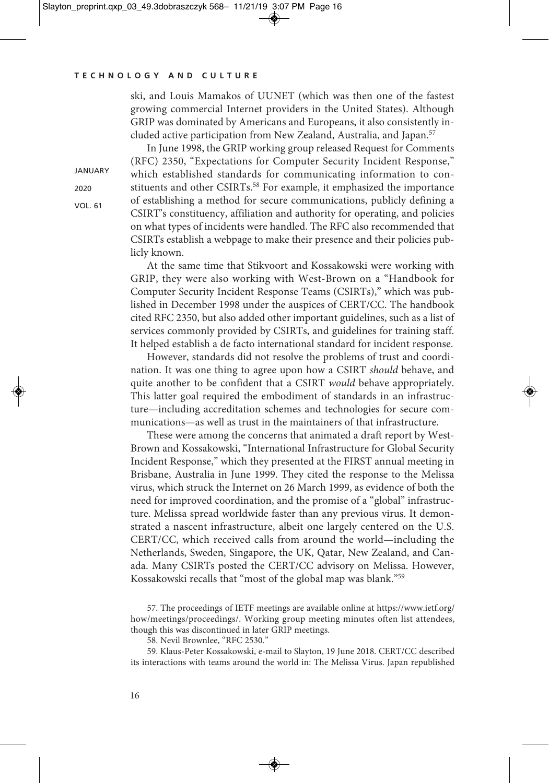ski, and Louis Mamakos of UUNET (which was then one of the fastest growing commercial Internet providers in the United States). Although GRIP was dominated by Americans and Europeans, it also consistently included active participation from New Zealand, Australia, and Japan. 57

**JANUARY** 2020

VOL. 61

In June 1998, the GRIP working group released Request for Comments (RFC) 2350, "Expectations for Computer Security Incident Response," which established standards for communicating information to constituents and other CSIRTs. <sup>58</sup> For example, it emphasized the importance of establishing a method for secure communications, publicly defining a CSIRT's constituency, affiliation and authority for operating, and policies on what types of incidents were handled. The RFC also recommended that CSIRTs establish a webpage to make their presence and their policies publicly known.

At the same time that Stikvoort and Kossakowski were working with GRIP, they were also working with West-Brown on a "Handbook for Computer Security Incident Response Teams (CSIRTs)," which was published in December 1998 under the auspices of CERT/CC. The handbook cited RFC 2350, but also added other important guidelines, such as a list of services commonly provided by CSIRTs, and guidelines for training staff. It helped establish a de facto international standard for incident response.

However, standards did not resolve the problems of trust and coordination. It was one thing to agree upon how a CSIRT *should* behave, and quite another to be confident that a CSIRT *would* behave appropriately. This latter goal required the embodiment of standards in an infrastructure—including accreditation schemes and technologies for secure communications—as well as trust in the maintainers of that infrastructure.

These were among the concerns that animated a draft report by West-Brown and Kossakowski, "International Infrastructure for Global Security Incident Response," which they presented at the FIRST annual meeting in Brisbane, Australia in June 1999. They cited the response to the Melissa virus, which struck the Internet on 26 March 1999, as evidence of both the need for improved coordination, and the promise of a "global" infrastructure. Melissa spread worldwide faster than any previous virus. It demonstrated a nascent infrastructure, albeit one largely centered on the U.S. CERT/CC, which received calls from around the world—including the Netherlands, Sweden, Singapore, the UK, Qatar, New Zealand, and Canada. Many CSIRTs posted the CERT/CC advisory on Melissa. However, Kossakowski recalls that "most of the global map was blank."59

57. The proceedings of IETF meetings are available online at https://www.ietf.org/ how/meetings/proceedings/. Working group meeting minutes often list attendees, though this was discontinued in later GRIP meetings.

58. Nevil Brownlee, "RFC 2530."

59. Klaus-Peter Kossakowski, e-mail to Slayton, 19 June 2018. CERT/CC described its interactions with teams around the world in: The Melissa Virus. Japan republished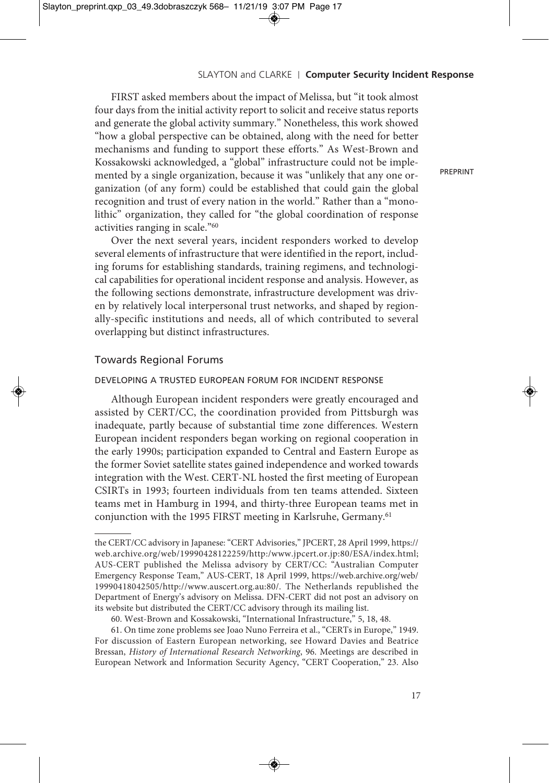FIRST asked members about the impact of Melissa, but "it took almost four days from the initial activity report to solicit and receive status reports and generate the global activity summary." Nonetheless, this work showed "how a global perspective can be obtained, along with the need for better mechanisms and funding to support these efforts." As West-Brown and Kossakowski acknowledged, a "global" infrastructure could not be implemented by a single organization, because it was "unlikely that any one organization (of any form) could be established that could gain the global recognition and trust of every nation in the world." Rather than a "monolithic" organization, they called for "the global coordination of response activities ranging in scale."60

Over the next several years, incident responders worked to develop several elements of infrastructure that were identified in the report, including forums for establishing standards, training regimens, and technological capabilities for operational incident response and analysis. However, as the following sections demonstrate, infrastructure development was driven by relatively local interpersonal trust networks, and shaped by regionally-specific institutions and needs, all of which contributed to several overlapping but distinct infrastructures.

## Towards Regional Forums

#### DEVELOPING A TRUSTED EUROPEAN FORUM FOR INCIDENT RESPONSE

Although European incident responders were greatly encouraged and assisted by CERT/CC, the coordination provided from Pittsburgh was inadequate, partly because of substantial time zone differences. Western European incident responders began working on regional cooperation in the early 1990s; participation expanded to Central and Eastern Europe as the former Soviet satellite states gained independence and worked towards integration with the West. CERT-NL hosted the first meeting of European CSIRTs in 1993; fourteen individuals from ten teams attended. Sixteen teams met in Hamburg in 1994, and thirty-three European teams met in conjunction with the 1995 FIRST meeting in Karlsruhe, Germany. 61

the CERT/CC advisory in Japanese:"CERT Advisories," JPCERT, 28 April 1999, https:// web.archive.org/web/19990428122259/http:/www.jpcert.or.jp:80/ESA/index.html; AUS-CERT published the Melissa advisory by CERT/CC: "Australian Computer Emergency Response Team," AUS-CERT, 18 April 1999, https://web.archive.org/web/ 19990418042505/http://www.auscert.org.au:80/. The Netherlands republished the Department of Energy's advisory on Melissa. DFN-CERT did not post an advisory on its website but distributed the CERT/CC advisory through its mailing list.

<sup>60.</sup> West-Brown and Kossakowski, "International Infrastructure," 5, 18, 48.

<sup>61.</sup> On time zone problems see Joao Nuno Ferreira et al., "CERTs in Europe," 1949. For discussion of Eastern European networking, see Howard Davies and Beatrice Bressan, *History of International Research Networking*, 96. Meetings are described in European Network and Information Security Agency, "CERT Cooperation," 23. Also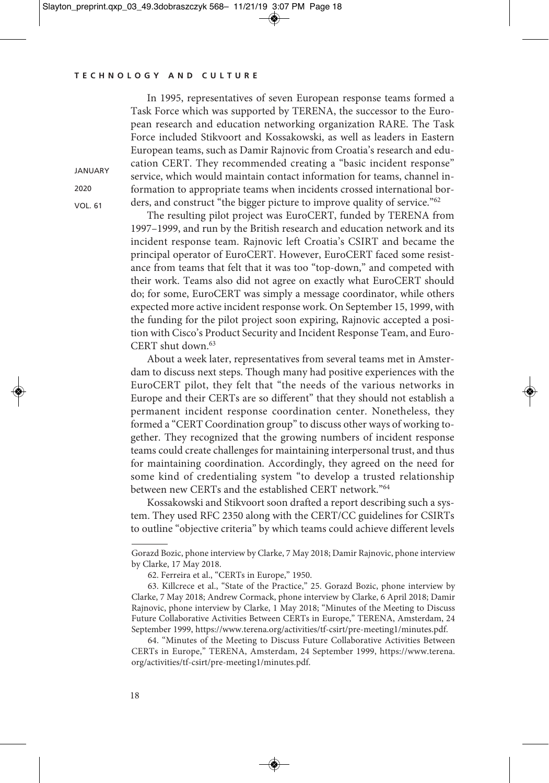In 1995, representatives of seven European response teams formed a Task Force which was supported by TERENA, the successor to the European research and education networking organization RARE. The Task Force included Stikvoort and Kossakowski, as well as leaders in Eastern European teams, such as Damir Rajnovic from Croatia's research and education CERT. They recommended creating a "basic incident response" service, which would maintain contact information for teams, channel information to appropriate teams when incidents crossed international borders, and construct "the bigger picture to improve quality of service."62

The resulting pilot project was EuroCERT, funded by TERENA from 1997–1999, and run by the British research and education network and its incident response team. Rajnovic left Croatia's CSIRT and became the principal operator of EuroCERT. However, EuroCERT faced some resistance from teams that felt that it was too "top-down," and competed with their work. Teams also did not agree on exactly what EuroCERT should do; for some, EuroCERT was simply a message coordinator, while others expected more active incident response work. On September 15, 1999, with the funding for the pilot project soon expiring, Rajnovic accepted a position with Cisco's Product Security and Incident Response Team, and Euro-CERT shut down. 63

About a week later, representatives from several teams met in Amsterdam to discuss next steps. Though many had positive experiences with the EuroCERT pilot, they felt that "the needs of the various networks in Europe and their CERTs are so different" that they should not establish a permanent incident response coordination center. Nonetheless, they formed a "CERT Coordination group" to discuss other ways of working together. They recognized that the growing numbers of incident response teams could create challenges for maintaining interpersonal trust, and thus for maintaining coordination. Accordingly, they agreed on the need for some kind of credentialing system "to develop a trusted relationship between new CERTs and the established CERT network."64

Kossakowski and Stikvoort soon drafted a report describing such a system. They used RFC 2350 along with the CERT/CC guidelines for CSIRTs to outline "objective criteria" by which teams could achieve different levels

**JANUARY** 2020

VOL. 61

Gorazd Bozic, phone interview by Clarke, 7 May 2018; Damir Rajnovic, phone interview by Clarke, 17 May 2018.

<sup>62.</sup> Ferreira et al., "CERTs in Europe," 1950.

<sup>63.</sup> Killcrece et al., "State of the Practice," 25. Gorazd Bozic, phone interview by Clarke, 7 May 2018; Andrew Cormack, phone interview by Clarke, 6 April 2018; Damir Rajnovic, phone interview by Clarke, 1 May 2018; "Minutes of the Meeting to Discuss Future Collaborative Activities Between CERTs in Europe," TERENA, Amsterdam, 24 September 1999, https://www.terena.org/activities/tf-csirt/pre-meeting1/minutes.pdf.

<sup>64.</sup> "Minutes of the Meeting to Discuss Future Collaborative Activities Between CERTs in Europe," TERENA, Amsterdam, 24 September 1999, https://www.terena. org/activities/tf-csirt/pre-meeting1/minutes.pdf.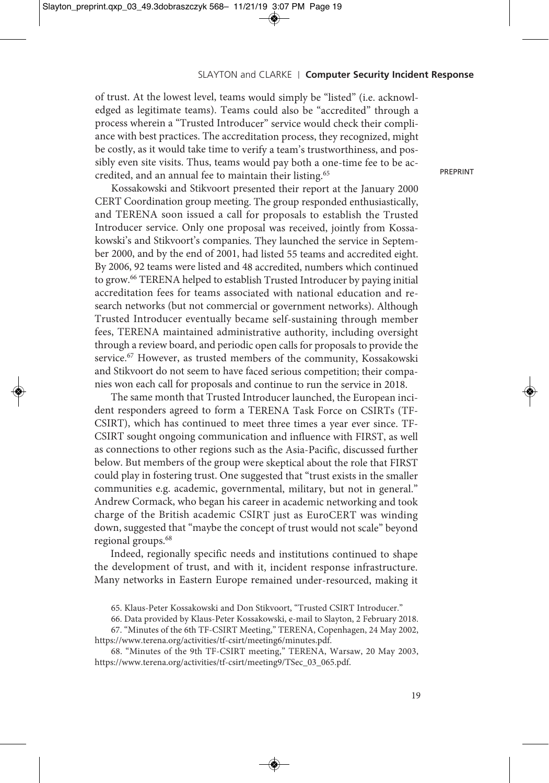of trust. At the lowest level, teams would simply be "listed" (i.e. acknowledged as legitimate teams). Teams could also be "accredited" through <sup>a</sup> process wherein <sup>a</sup> "Trusted Introducer" service would check their compliance with best practices. The accreditation process, they recognized, might be costly, as it would take time to verify <sup>a</sup> team's trustworthiness, and possibly even site visits. Thus, teams would pay both <sup>a</sup> one-time fee to be accredited, and an annual fee to maintain their listing. 65

Kossakowski and Stikvoort presented their repor<sup>t</sup> at the January <sup>2000</sup> CERT Coordination group meeting. The group responded enthusiastically, and TERENA soon issued <sup>a</sup> call for proposals to establish the Trusted Introducer service. Only one proposal was received, jointly from Kossakowski's and Stikvoort's companies. They launched the service in September 2000, and by the end of 2001, had listed <sup>55</sup> teams and accredited eight. By 2006, <sup>92</sup> teams were listed and <sup>48</sup> accredited, numbers which continued to grow. <sup>66</sup> TERENA helped to establish Trusted Introducer by paying initial accreditation fees for teams associated with national education and research networks (but not commercial or governmen<sup>t</sup> networks). Although Trusted Introducer eventually became self-sustaining through member fees, TERENA maintained administrative authority, including oversight through <sup>a</sup> review board, and periodic open calls for proposals to provide the service. <sup>67</sup> However, as trusted members of the community, Kossakowski and Stikvoort do not seem to have faced serious competition; their companies won each call for proposals and continue to run the service in 2018.

The same month that Trusted Introducer launched, the European incident responders agreed to form <sup>a</sup> TERENA Task Force on CSIRTs (TF-CSIRT), which has continued to meet three times <sup>a</sup> year ever since. TF-CSIRT sought ongoing communication and influence with FIRST, as well as connections to other regions such as the Asia-Pacific, discussed further below. But members of the group were skeptical about the role that FIRST could play in fostering trust. One suggested that "trust exists in the smaller communities e.g. academic, governmental, military, but not in general." Andrew Cormack, who began his career in academic networking and took charge of the British academic CSIRT just as EuroCERT was winding down, suggested that "maybe the concep<sup>t</sup> of trust would not scale" beyond regional groups. 68

Indeed, regionally specific needs and institutions continued to shape the development of trust, and with it, incident response infrastructure. Many networks in Eastern Europe remained under-resourced, making it

67. "Minutes of the 6th TF-CSIRT Meeting," TERENA, Copenhagen, 24 May 2002, https://www.terena.org/activities/tf-csirt/meeting6/minutes.pdf.

68. "Minutes of the 9th TF-CSIRT meeting," TERENA, Warsaw, 20 May 2003, https://www.terena.org/activities/tf-csirt/meeting9/TSec\_03\_065.pdf.

<sup>65.</sup> Klaus-Peter Kossakowski and Don Stikvoort, "Trusted CSIRT Introducer."

<sup>66.</sup> Data provided by Klaus-Peter Kossakowski, e-mail to Slayton, 2 February 2018.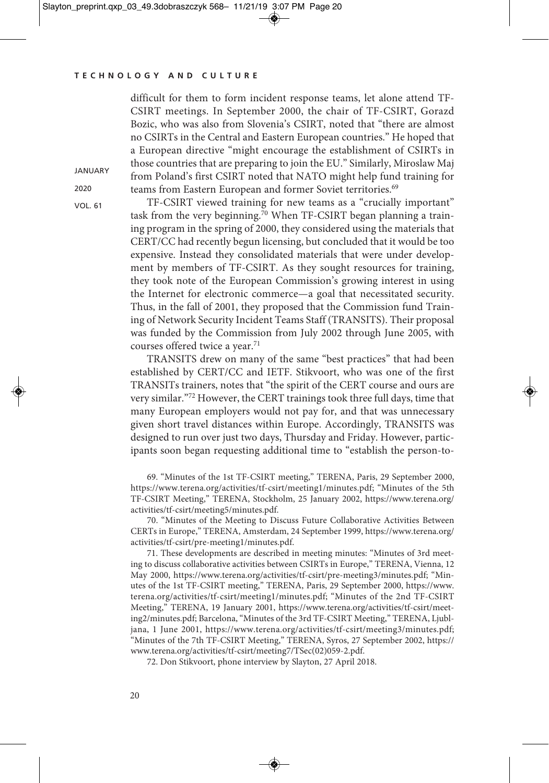**JANUARY** 2020 VOL. 61

difficult for them to form incident response teams, let alone attend TF-CSIRT meetings. In September 2000, the chair of TF-CSIRT, Gorazd Bozic, who was also from Slovenia's CSIRT, noted that "there are almost no CSIRTs in the Central and Eastern European countries." He hoped that a European directive "might encourage the establishment of CSIRTs in those countries that are preparing to join the EU." Similarly, Miroslaw Maj from Poland's first CSIRT noted that NATO might help fund training for teams from Eastern European and former Soviet territories. 69

TF-CSIRT viewed training for new teams as a "crucially important" task from the very beginning. <sup>70</sup> When TF-CSIRT began planning a training program in the spring of 2000, they considered using the materials that CERT/CC had recently begun licensing, but concluded that it would be too expensive. Instead they consolidated materials that were under development by members of TF-CSIRT. As they sought resources for training, they took note of the European Commission's growing interest in using the Internet for electronic commerce—a goal that necessitated security. Thus, in the fall of 2001, they proposed that the Commission fund Training of Network Security Incident Teams Staff (TRANSITS). Their proposal was funded by the Commission from July 2002 through June 2005, with courses offered twice a year. 71

TRANSITS drew on many of the same "best practices" that had been established by CERT/CC and IETF. Stikvoort, who was one of the first TRANSITs trainers, notes that "the spirit of the CERT course and ours are very similar."72 However, the CERT trainings took three full days, time that many European employers would not pay for, and that was unnecessary given short travel distances within Europe. Accordingly, TRANSITS was designed to run over just two days, Thursday and Friday. However, participants soon began requesting additional time to "establish the person-to-

69. "Minutes of the 1st TF-CSIRT meeting," TERENA, Paris, 29 September 2000, https://www.terena.org/activities/tf-csirt/meeting1/minutes.pdf; "Minutes of the 5th TF-CSIRT Meeting," TERENA, Stockholm, 25 January 2002, https://www.terena.org/ activities/tf-csirt/meeting5/minutes.pdf.

70. "Minutes of the Meeting to Discuss Future Collaborative Activities Between CERTs in Europe," TERENA, Amsterdam, 24 September 1999, https://www.terena.org/ activities/tf-csirt/pre-meeting1/minutes.pdf.

71. These developments are described in meeting minutes: "Minutes of 3rd meeting to discuss collaborative activities between CSIRTs in Europe," TERENA, Vienna, 12 May 2000, https://www.terena.org/activities/tf-csirt/pre-meeting3/minutes.pdf; "Minutes of the 1st TF-CSIRT meeting," TERENA, Paris, 29 September 2000, https://www. terena.org/activities/tf-csirt/meeting1/minutes.pdf; "Minutes of the 2nd TF-CSIRT Meeting," TERENA, 19 January 2001, https://www.terena.org/activities/tf-csirt/meeting2/minutes.pdf; Barcelona,"Minutes of the 3rd TF-CSIRT Meeting," TERENA, Ljubljana, 1 June 2001, https://www.terena.org/activities/tf-csirt/meeting3/minutes.pdf; "Minutes of the 7th TF-CSIRT Meeting," TERENA, Syros, 27 September 2002, https:// www.terena.org/activities/tf-csirt/meeting7/TSec(02)059-2.pdf.

72. Don Stikvoort, phone interview by Slayton, 27 April 2018.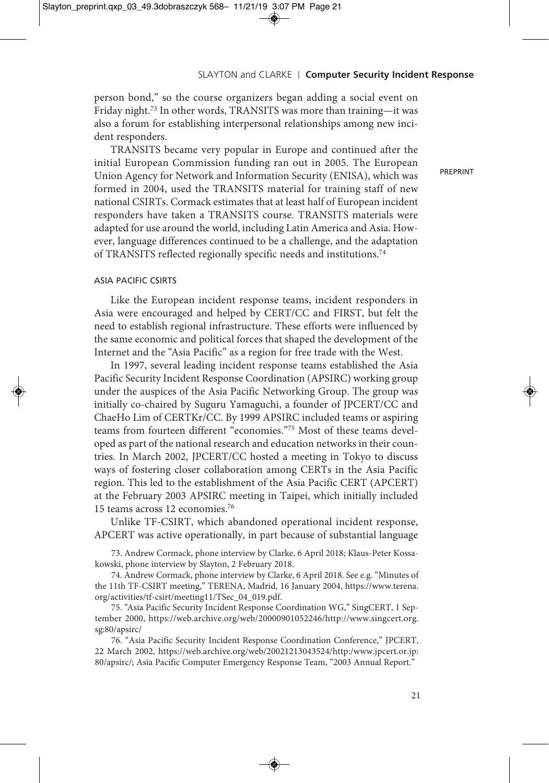person bond," so the course organizers began adding a social event on Friday night. <sup>73</sup> In other words, TRANSITS was more than training—it was also a forum for establishing interpersonal relationships among new incident responders.

TRANSITS became very popular in Europe and continued after the initial European Commission funding ran out in 2005. The European Union Agency for Network and Information Security (ENISA), which was formed in 2004, used the TRANSITS material for training staff of new national CSIRTs. Cormack estimates that at least half of European incident responders have taken a TRANSITS course. TRANSITS materials were adapted for use around the world, including Latin America and Asia. However, language differences continued to be a challenge, and the adaptation of TRANSITS reflected regionally specific needs and institutions. 74

# PREPRINT

## ASIA PACIFIC CSIRTS

Like the European incident response teams, incident responders in Asia were encouraged and helped by CERT/CC and FIRST, but felt the need to establish regional infrastructure. These efforts were influenced by the same economic and political forces that shaped the development of the Internet and the "Asia Pacific" as a region for free trade with the West.

In 1997, several leading incident response teams established the Asia Pacific Security Incident Response Coordination (APSIRC) working group under the auspices of the Asia Pacific Networking Group. The group was initially co-chaired by Suguru Yamaguchi, a founder of JPCERT/CC and ChaeHo Lim of CERTKr/CC. By 1999 APSIRC included teams or aspiring teams from fourteen different "economies."75 Most of these teams developed as part of the national research and education networks in their countries. In March 2002, JPCERT/CC hosted a meeting in Tokyo to discuss ways of fostering closer collaboration among CERTs in the Asia Pacific region. This led to the establishment of the Asia Pacific CERT (APCERT) at the February 2003 APSIRC meeting in Taipei, which initially included 15 teams across 12 economies. 76

Unlike TF-CSIRT, which abandoned operational incident response, APCERT was active operationally, in part because of substantial language

73. Andrew Cormack, phone interview by Clarke, 6 April 2018; Klaus-Peter Kossakowski, phone interview by Slayton, 2 February 2018.

74. Andrew Cormack, phone interview by Clarke, 6 April 2018. See e.g. "Minutes of the 11th TF-CSIRT meeting," TERENA, Madrid, 16 January 2004, https://www.terena. org/activities/tf-csirt/meeting11/TSec\_04\_019.pdf.

75. "Asia Pacific Security Incident Response Coordination WG," SingCERT, 1 September 2000, https://web.archive.org/web/20000901052246/http://www.singcert.org. sg:80/apsirc/

76. "Asia Pacific Security Incident Response Coordination Conference," JPCERT, 22 March 2002, https://web.archive.org/web/20021213043524/http:/www.jpcert.or.jp: 80/apsirc/; Asia Pacific Computer Emergency Response Team, "2003 Annual Report."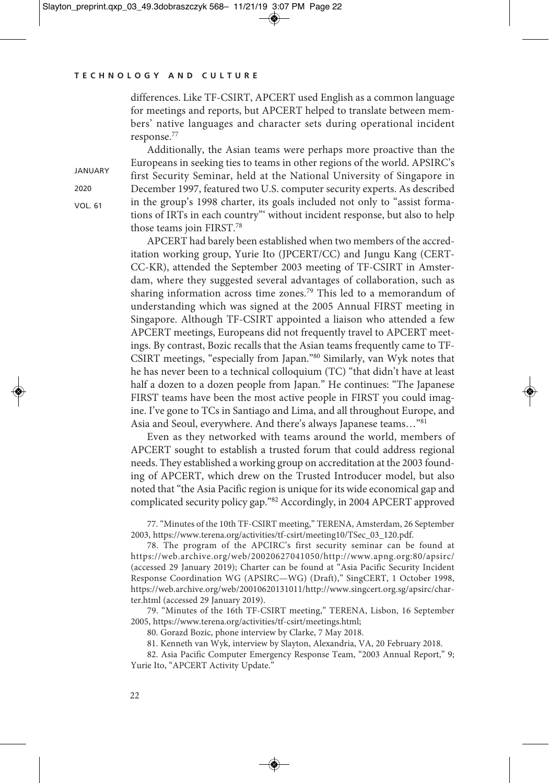differences. Like TF-CSIRT, APCERT used English as a common language for meetings and reports, but APCERT helped to translate between members' native languages and character sets during operational incident response. 77

Additionally, the Asian teams were perhaps more proactive than the Europeans in seeking ties to teams in other regions of the world. APSIRC's first Security Seminar, held at the National University of Singapore in December 1997, featured two U.S. computer security experts. As described in the group's 1998 charter, its goals included not only to "assist formations of IRTs in each country"' without incident response, but also to help those teams join FIRST. 78

APCERT had barely been established when two members of the accreditation working group, Yurie Ito (JPCERT/CC) and Jungu Kang (CERT-CC-KR), attended the September 2003 meeting of TF-CSIRT in Amsterdam, where they suggested several advantages of collaboration, such as sharing information across time zones. <sup>79</sup> This led to a memorandum of understanding which was signed at the 2005 Annual FIRST meeting in Singapore. Although TF-CSIRT appointed a liaison who attended a few APCERT meetings, Europeans did not frequently travel to APCERT meetings. By contrast, Bozic recalls that the Asian teams frequently came to TF-CSIRT meetings, "especially from Japan."80 Similarly, van Wyk notes that he has never been to a technical colloquium (TC) "that didn't have at least half a dozen to a dozen people from Japan." He continues: "The Japanese FIRST teams have been the most active people in FIRST you could imagine. I've gone to TCs in Santiago and Lima, and all throughout Europe, and Asia and Seoul, everywhere. And there's always Japanese teams…"81

Even as they networked with teams around the world, members of APCERT sought to establish a trusted forum that could address regional needs. They established a working group on accreditation at the 2003 founding of APCERT, which drew on the Trusted Introducer model, but also noted that"the Asia Pacific region is unique for its wide economical gap and complicated security policy gap."82 Accordingly, in 2004 APCERT approved

77. "Minutes of the 10th TF-CSIRT meeting," TERENA, Amsterdam, 26 September 2003, https://www.terena.org/activities/tf-csirt/meeting10/TSec\_03\_120.pdf.

78. The program of the APCIRC's first security seminar can be found at https://web.archive.org/web/20020627041050/http://www.apng.org:80/apsirc/ (accessed 29 January 2019); Charter can be found at "Asia Pacific Security Incident Response Coordination WG (APSIRC—WG) (Draft)," SingCERT, 1 October 1998, https://web.archive.org/web/20010620131011/http://www.singcert.org.sg/apsirc/charter.html (accessed 29 January 2019).

79. "Minutes of the 16th TF-CSIRT meeting," TERENA, Lisbon, 16 September 2005, https://www.terena.org/activities/tf-csirt/meetings.html;

80. Gorazd Bozic, phone interview by Clarke, 7 May 2018.

81. Kenneth van Wyk, interview by Slayton, Alexandria, VA, 20 February 2018.

82. Asia Pacific Computer Emergency Response Team, "2003 Annual Report," 9; Yurie Ito, "APCERT Activity Update."

**JANUARY** 2020 VOL. 61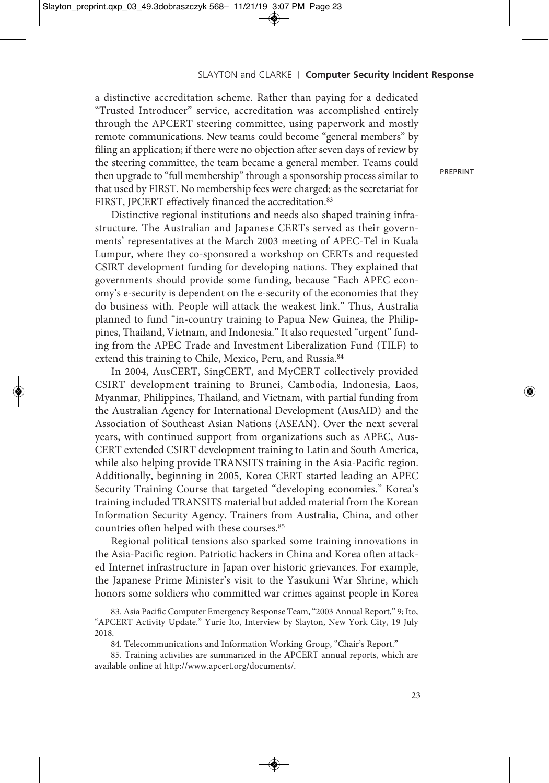a distinctive accreditation scheme. Rather than paying for a dedicated "Trusted Introducer" service, accreditation was accomplished entirely through the APCERT steering committee, using paperwork and mostly remote communications. New teams could become "general members" by filing an application; if there were no objection after seven days of review by the steering committee, the team became a general member. Teams could then upgrade to "full membership" through a sponsorship process similar to that used by FIRST. No membership fees were charged; as the secretariat for FIRST, JPCERT effectively financed the accreditation.<sup>83</sup>

Distinctive regional institutions and needs also shaped training infrastructure. The Australian and Japanese CERTs served as their governments' representatives at the March 2003 meeting of APEC-Tel in Kuala Lumpur, where they co-sponsored a workshop on CERTs and requested CSIRT development funding for developing nations. They explained that governments should provide some funding, because "Each APEC economy's e-security is dependent on the e-security of the economies that they do business with. People will attack the weakest link." Thus, Australia planned to fund "in-country training to Papua New Guinea, the Philippines, Thailand, Vietnam, and Indonesia." It also requested "urgent" funding from the APEC Trade and Investment Liberalization Fund (TILF) to extend this training to Chile, Mexico, Peru, and Russia.<sup>84</sup>

In 2004, AusCERT, SingCERT, and MyCERT collectively provided CSIRT development training to Brunei, Cambodia, Indonesia, Laos, Myanmar, Philippines, Thailand, and Vietnam, with partial funding from the Australian Agency for International Development (AusAID) and the Association of Southeast Asian Nations (ASEAN). Over the next several years, with continued support from organizations such as APEC, Aus-CERT extended CSIRT development training to Latin and South America, while also helping provide TRANSITS training in the Asia-Pacific region. Additionally, beginning in 2005, Korea CERT started leading an APEC Security Training Course that targeted "developing economies." Korea's training included TRANSITS material but added material from the Korean Information Security Agency. Trainers from Australia, China, and other countries often helped with these courses. 85

Regional political tensions also sparked some training innovations in the Asia-Pacific region. Patriotic hackers in China and Korea often attacked Internet infrastructure in Japan over historic grievances. For example, the Japanese Prime Minister's visit to the Yasukuni War Shrine, which honors some soldiers who committed war crimes against people in Korea

83. Asia Pacific Computer Emergency Response Team,"2003 Annual Report," 9; Ito, "APCERT Activity Update." Yurie Ito, Interview by Slayton, New York City, 19 July 2018.

84. Telecommunications and Information Working Group, "Chair's Report."

85. Training activities are summarized in the APCERT annual reports, which are available online at http://www.apcert.org/documents/.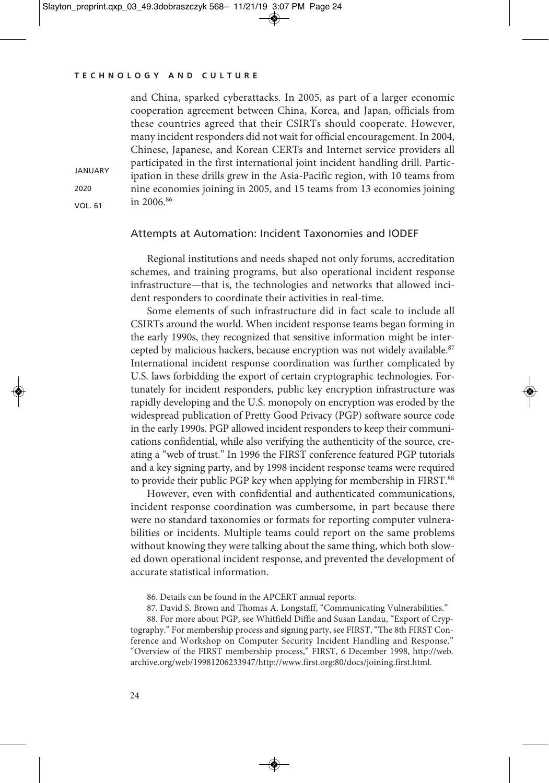**JANUARY** 2020 VOL. 61

and China, sparked cyberattacks. In 2005, as part of a larger economic cooperation agreement between China, Korea, and Japan, officials from these countries agreed that their CSIRTs should cooperate. However, many incident responders did not wait for official encouragement. In 2004, Chinese, Japanese, and Korean CERTs and Internet service providers all participated in the first international joint incident handling drill. Participation in these drills grew in the Asia-Pacific region, with 10 teams from nine economies joining in 2005, and 15 teams from 13 economies joining in 2006. 86

## Attempts at Automation: Incident Taxonomies and IODEF

Regional institutions and needs shaped not only forums, accreditation schemes, and training programs, but also operational incident response infrastructure—that is, the technologies and networks that allowed incident responders to coordinate their activities in real-time.

Some elements of such infrastructure did in fact scale to include all CSIRTs around the world. When incident response teams began forming in the early 1990s, they recognized that sensitive information might be intercepted by malicious hackers, because encryption was not widely available.<sup>87</sup> International incident response coordination was further complicated by U.S. laws forbidding the export of certain cryptographic technologies. Fortunately for incident responders, public key encryption infrastructure was rapidly developing and the U.S. monopoly on encryption was eroded by the widespread publication of Pretty Good Privacy (PGP) software source code in the early 1990s. PGP allowed incident responders to keep their communications confidential, while also verifying the authenticity of the source, creating a "web of trust." In 1996 the FIRST conference featured PGP tutorials and a key signing party, and by 1998 incident response teams were required to provide their public PGP key when applying for membership in FIRST.<sup>88</sup>

However, even with confidential and authenticated communications, incident response coordination was cumbersome, in part because there were no standard taxonomies or formats for reporting computer vulnerabilities or incidents. Multiple teams could report on the same problems without knowing they were talking about the same thing, which both slowed down operational incident response, and prevented the development of accurate statistical information.

- 86. Details can be found in the APCERT annual reports.
- 87. David S. Brown and Thomas A. Longstaff, "Communicating Vulnerabilities."

88. For more about PGP, see Whitfield Diffie and Susan Landau, "Export of Cryptography." For membership process and signing party, see FIRST, "The 8th FIRST Conference and Workshop on Computer Security Incident Handling and Response." "Overview of the FIRST membership process," FIRST, 6 December 1998, http://web. archive.org/web/19981206233947/http://www.first.org:80/docs/joining.first.html.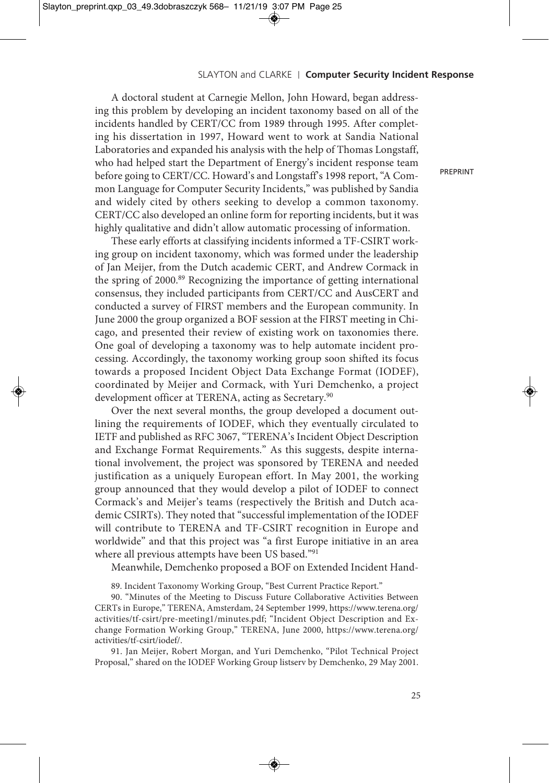A doctoral student at Carnegie Mellon, John Howard, began addressing this problem by developing an incident taxonomy based on all of the incidents handled by CERT/CC from 1989 through 1995. After completing his dissertation in 1997, Howard went to work at Sandia National Laboratories and expanded his analysis with the help of Thomas Longstaff, who had helped start the Department of Energy's incident response team before going to CERT/CC. Howard's and Longstaff's 1998 report, "A Common Language for Computer Security Incidents," was published by Sandia and widely cited by others seeking to develop a common taxonomy. CERT/CC also developed an online form for reporting incidents, but it was highly qualitative and didn't allow automatic processing of information.

These early efforts at classifying incidents informed a TF-CSIRT working group on incident taxonomy, which was formed under the leadership of Jan Meijer, from the Dutch academic CERT, and Andrew Cormack in the spring of 2000. <sup>89</sup> Recognizing the importance of getting international consensus, they included participants from CERT/CC and AusCERT and conducted a survey of FIRST members and the European community. In June 2000 the group organized a BOF session at the FIRST meeting in Chicago, and presented their review of existing work on taxonomies there. One goal of developing a taxonomy was to help automate incident processing. Accordingly, the taxonomy working group soon shifted its focus towards a proposed Incident Object Data Exchange Format (IODEF), coordinated by Meijer and Cormack, with Yuri Demchenko, a project development officer at TERENA, acting as Secretary. 90

Over the next several months, the group developed a document outlining the requirements of IODEF, which they eventually circulated to IETF and published as RFC 3067, "TERENA's Incident Object Description and Exchange Format Requirements." As this suggests, despite international involvement, the project was sponsored by TERENA and needed justification as a uniquely European effort. In May 2001, the working group announced that they would develop a pilot of IODEF to connect Cormack's and Meijer's teams (respectively the British and Dutch academic CSIRTs). They noted that "successful implementation of the IODEF will contribute to TERENA and TF-CSIRT recognition in Europe and worldwide" and that this project was "a first Europe initiative in an area where all previous attempts have been US based."91

Meanwhile, Demchenko proposed a BOF on Extended Incident Hand-

89. Incident Taxonomy Working Group, "Best Current Practice Report."

90. "Minutes of the Meeting to Discuss Future Collaborative Activities Between CERTs in Europe," TERENA, Amsterdam, 24 September 1999, https://www.terena.org/ activities/tf-csirt/pre-meeting1/minutes.pdf; "Incident Object Description and Exchange Formation Working Group," TERENA, June 2000, https://www.terena.org/ activities/tf-csirt/iodef/.

91. Jan Meijer, Robert Morgan, and Yuri Demchenko, "Pilot Technical Project Proposal," shared on the IODEF Working Group listserv by Demchenko, 29 May 2001.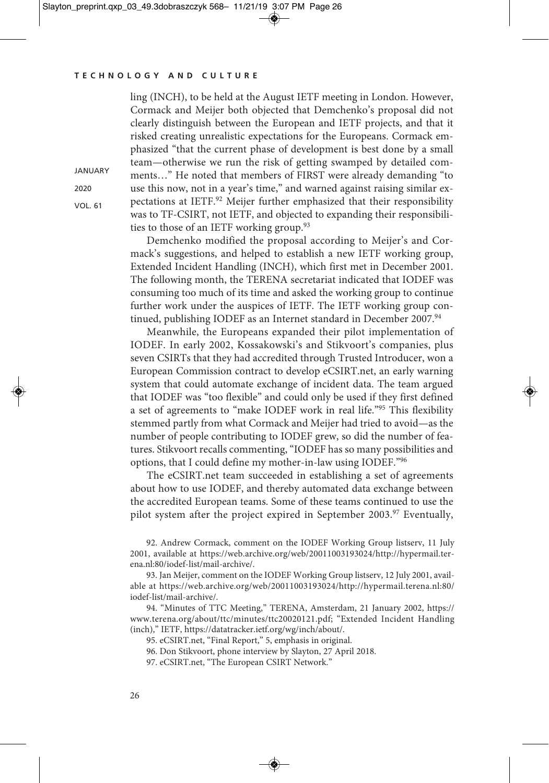**JANUARY** 2020 VOL. 61

ling (INCH), to be held at the August IETF meeting in London. However, Cormack and Meijer both objected that Demchenko's proposal did not clearly distinguish between the European and IETF projects, and that it risked creating unrealistic expectations for the Europeans. Cormack emphasized "that the current phase of development is best done by a small team—otherwise we run the risk of getting swamped by detailed comments…" He noted that members of FIRST were already demanding "to use this now, not in a year's time," and warned against raising similar expectations at IETF. <sup>92</sup> Meijer further emphasized that their responsibility was to TF-CSIRT, not IETF, and objected to expanding their responsibilities to those of an IETF working group. 93

Demchenko modified the proposal according to Meijer's and Cormack's suggestions, and helped to establish a new IETF working group, Extended Incident Handling (INCH), which first met in December 2001. The following month, the TERENA secretariat indicated that IODEF was consuming too much of its time and asked the working group to continue further work under the auspices of IETF. The IETF working group continued, publishing IODEF as an Internet standard in December 2007. 94

Meanwhile, the Europeans expanded their pilot implementation of IODEF. In early 2002, Kossakowski's and Stikvoort's companies, plus seven CSIRTs that they had accredited through Trusted Introducer, won a European Commission contract to develop eCSIRT.net, an early warning system that could automate exchange of incident data. The team argued that IODEF was "too flexible" and could only be used if they first defined a set of agreements to "make IODEF work in real life."95 This flexibility stemmed partly from what Cormack and Meijer had tried to avoid—as the number of people contributing to IODEF grew, so did the number of features. Stikvoort recalls commenting, "IODEF has so many possibilities and options, that I could define my mother-in-law using IODEF."96

The eCSIRT.net team succeeded in establishing a set of agreements about how to use IODEF, and thereby automated data exchange between the accredited European teams. Some of these teams continued to use the pilot system after the project expired in September 2003. <sup>97</sup> Eventually,

92. Andrew Cormack, comment on the IODEF Working Group listserv, 11 July 2001, available at https://web.archive.org/web/20011003193024/http://hypermail.terena.nl:80/iodef-list/mail-archive/.

93. Jan Meijer, comment on the IODEF Working Group listserv, 12 July 2001, available at https://web.archive.org/web/20011003193024/http://hypermail.terena.nl:80/ iodef-list/mail-archive/.

94. "Minutes of TTC Meeting," TERENA, Amsterdam, 21 January 2002, https:// www.terena.org/about/ttc/minutes/ttc20020121.pdf; "Extended Incident Handling (inch)," IETF, https://datatracker.ietf.org/wg/inch/about/.

95. eCSIRT.net, "Final Report," 5, emphasis in original.

96. Don Stikvoort, phone interview by Slayton, 27 April 2018.

97. eCSIRT.net, "The European CSIRT Network."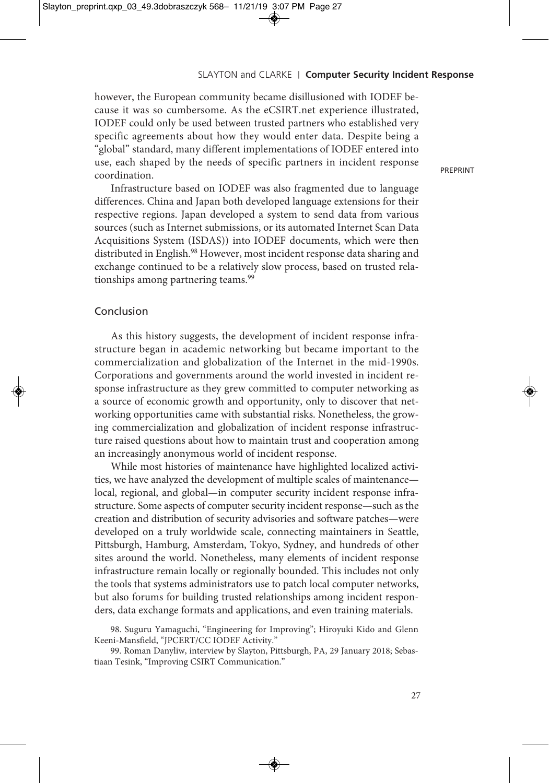however, the European community became disillusioned with IODEF because it was so cumbersome. As the eCSIRT.net experience illustrated, IODEF could only be used between trusted partners who established very specific agreements about how they would enter data. Despite being a "global" standard, many different implementations of IODEF entered into use, each shaped by the needs of specific partners in incident response coordination.

Infrastructure based on IODEF was also fragmented due to language differences. China and Japan both developed language extensions for their respective regions. Japan developed a system to send data from various sources (such as Internet submissions, or its automated Internet Scan Data Acquisitions System (ISDAS)) into IODEF documents, which were then distributed in English. <sup>98</sup> However, most incident response data sharing and exchange continued to be a relatively slow process, based on trusted relationships among partnering teams. 99

## Conclusion

As this history suggests, the development of incident response infrastructure began in academic networking but became important to the commercialization and globalization of the Internet in the mid-1990s. Corporations and governments around the world invested in incident response infrastructure as they grew committed to computer networking as a source of economic growth and opportunity, only to discover that networking opportunities came with substantial risks. Nonetheless, the growing commercialization and globalization of incident response infrastructure raised questions about how to maintain trust and cooperation among an increasingly anonymous world of incident response.

While most histories of maintenance have highlighted localized activities, we have analyzed the development of multiple scales of maintenance local, regional, and global—in computer security incident response infrastructure. Some aspects of computer security incident response—such as the creation and distribution of security advisories and software patches—were developed on a truly worldwide scale, connecting maintainers in Seattle, Pittsburgh, Hamburg, Amsterdam, Tokyo, Sydney, and hundreds of other sites around the world. Nonetheless, many elements of incident response infrastructure remain locally or regionally bounded. This includes not only the tools that systems administrators use to patch local computer networks, but also forums for building trusted relationships among incident responders, data exchange formats and applications, and even training materials.

98. Suguru Yamaguchi, "Engineering for Improving"; Hiroyuki Kido and Glenn Keeni-Mansfield, "JPCERT/CC IODEF Activity."

99. Roman Danyliw, interview by Slayton, Pittsburgh, PA, 29 January 2018; Sebastiaan Tesink, "Improving CSIRT Communication."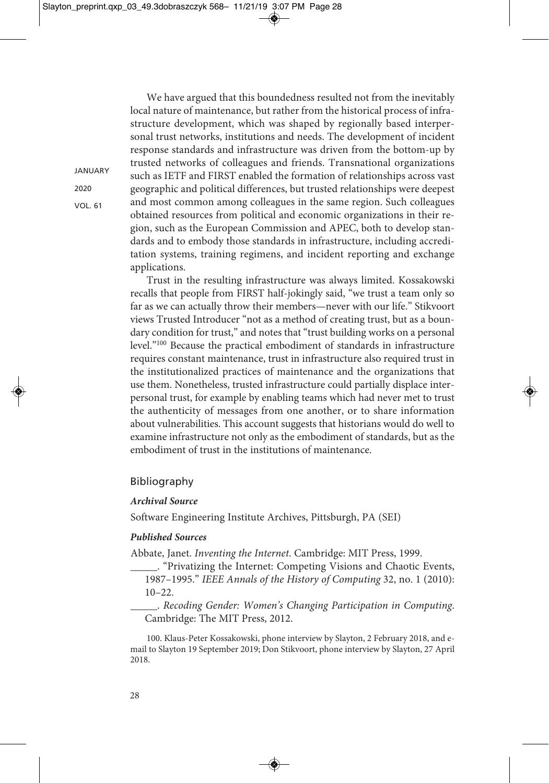structure development, which was shaped by regionally based interpersonal trust networks, institutions and needs. The development of incident response standards and infrastructure was driven from the bottom-up by trusted networks of colleagues and friends. Transnational organizations such as IETF and FIRST enabled the formation of relationships across vast geographic and political differences, but trusted relationships were deepest and most common among colleagues in the same region. Such colleagues obtained resources from political and economic organizations in their region, such as the European Commission and APEC, both to develop standards and to embody those standards in infrastructure, including accreditation systems, training regimens, and incident reporting and exchange applications.

We have argued that this boundedness resulted not from the inevitably local nature of maintenance, but rather from the historical process of infra-

Trust in the resulting infrastructure was always limited. Kossakowski recalls that people from FIRST half-jokingly said, "we trust a team only so far as we can actually throw their members—never with our life." Stikvoort views Trusted Introducer "not as a method of creating trust, but as a boundary condition for trust," and notes that "trust building works on a personal level."100 Because the practical embodiment of standards in infrastructure requires constant maintenance, trust in infrastructure also required trust in the institutionalized practices of maintenance and the organizations that use them. Nonetheless, trusted infrastructure could partially displace interpersonal trust, for example by enabling teams which had never met to trust the authenticity of messages from one another, or to share information about vulnerabilities. This account suggests that historians would do well to examine infrastructure not only as the embodiment of standards, but as the embodiment of trust in the institutions of maintenance.

## Bibliography

#### *Archival Source*

Software Engineering Institute Archives, Pittsburgh, PA (SEI)

#### *Published Sources*

Abbate, Janet. *Inventing the Internet*. Cambridge: MIT Press, 1999.

\_\_\_\_\_. "Privatizing the Internet: Competing Visions and Chaotic Events, 1987–1995." *IEEE Annals of the History of Computing* 32, no. 1 (2010):  $10-22.$ 

\_\_\_\_\_. *Recoding Gender: Women's Changing Participation in Computing*. Cambridge: The MIT Press, 2012.

100. Klaus-Peter Kossakowski, phone interview by Slayton, 2 February 2018, and email to Slayton 19 September 2019; Don Stikvoort, phone interview by Slayton, 27 April 2018.

VOL. 61

**JANUARY**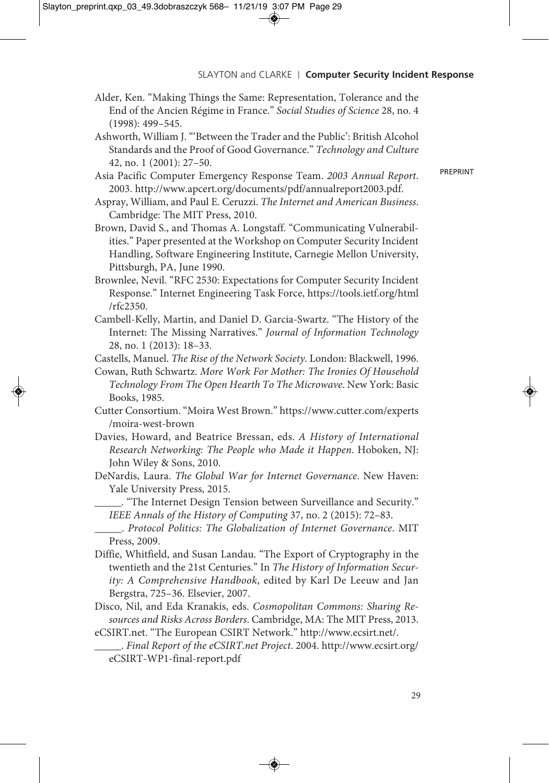- Alder, Ken. "Making Things the Same: Representation, Tolerance and the End of the Ancien Régime in France." *Social Studies of Science* 28, no. 4 (1998): 499–545.
- Ashworth, William J. "'Between the Trader and the Public': British Alcohol Standards and the Proof of Good Governance." *Technology and Culture* 42, no. 1 (2001): 27–50.
- Asia Pacific Computer Emergency Response Team. *2003 Annual Report*. 2003. http://www.apcert.org/documents/pdf/annualreport2003.pdf.
- Aspray, William, and Paul E. Ceruzzi. *The Internet and American Business*. Cambridge: The MIT Press, 2010.
- Brown, David S., and Thomas A. Longstaff. "Communicating Vulnerabilities." Paper presented at the Workshop on Computer Security Incident Handling, Software Engineering Institute, Carnegie Mellon University, Pittsburgh, PA, June 1990.
- Brownlee, Nevil. "RFC 2530: Expectations for Computer Security Incident Response." Internet Engineering Task Force, https://tools.ietf.org/html /rfc2350.
- Cambell-Kelly, Martin, and Daniel D. Garcia-Swartz. "The History of the Internet: The Missing Narratives." *Journal of Information Technology* 28, no. 1 (2013): 18–33.
- Castells, Manuel. *The Rise of the Network Society*. London: Blackwell, 1996.
- Cowan, Ruth Schwartz. *More Work For Mother: The Ironies Of Household Technology From The Open Hearth To The Microwave*. New York: Basic Books, 1985.
- Cutter Consortium. "Moira West Brown." https://www.cutter.com/experts /moira-west-brown
- Davies, Howard, and Beatrice Bressan, eds. *A History of International Research Networking: The People who Made it Happen*. Hoboken, NJ: John Wiley & Sons, 2010.
- DeNardis, Laura. *The Global War for Internet Governance*. New Haven: Yale University Press, 2015.
	- \_\_\_\_\_. "The Internet Design Tension between Surveillance and Security." *IEEE Annals of the History of Computing* 37, no. 2 (2015): 72–83.
- \_\_\_\_\_. *Protocol Politics: The Globalization of Internet Governance*. MIT Press, 2009.
- Diffie, Whitfield, and Susan Landau. "The Export of Cryptography in the twentieth and the 21st Centuries." In *The History of Information Security: A Comprehensive Handbook*, edited by Karl De Leeuw and Jan Bergstra, 725–36. Elsevier, 2007.
- Disco, Nil, and Eda Kranakis, eds. *Cosmopolitan Commons: Sharing Resources and Risks Across Borders*. Cambridge, MA: The MIT Press, 2013.
- eCSIRT.net. "The European CSIRT Network." http://www.ecsirt.net/.

\_\_\_\_\_. *Final Report of the eCSIRT.net Project*. 2004. http://www.ecsirt.org/ eCSIRT-WP1-final-report.pdf

29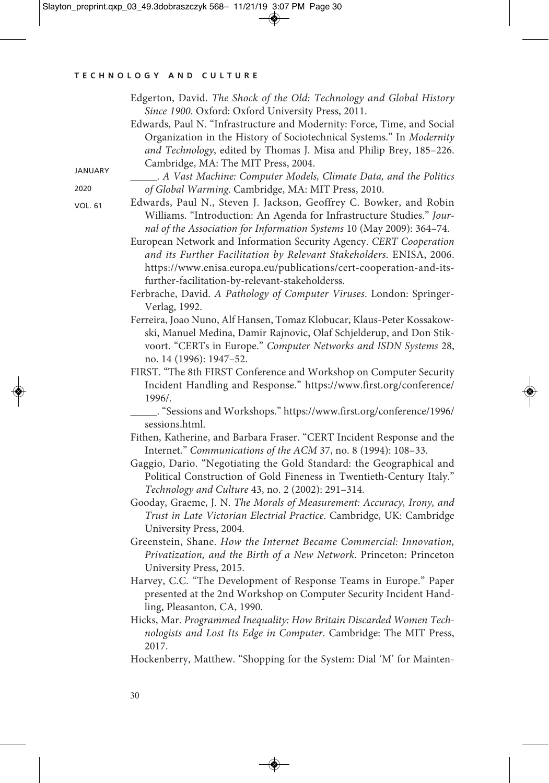|                | Edgerton, David. The Shock of the Old: Technology and Global History                                                                        |
|----------------|---------------------------------------------------------------------------------------------------------------------------------------------|
|                | Since 1900. Oxford: Oxford University Press, 2011.                                                                                          |
|                | Edwards, Paul N. "Infrastructure and Modernity: Force, Time, and Social                                                                     |
|                | Organization in the History of Sociotechnical Systems." In Modernity                                                                        |
|                | and Technology, edited by Thomas J. Misa and Philip Brey, 185-226.                                                                          |
|                | Cambridge, MA: The MIT Press, 2004.                                                                                                         |
| JANUARY        | A Vast Machine: Computer Models, Climate Data, and the Politics                                                                             |
| 2020           | of Global Warming. Cambridge, MA: MIT Press, 2010.                                                                                          |
| <b>VOL. 61</b> | Edwards, Paul N., Steven J. Jackson, Geoffrey C. Bowker, and Robin<br>Williams. "Introduction: An Agenda for Infrastructure Studies." Jour- |
|                | nal of the Association for Information Systems 10 (May 2009): 364-74.                                                                       |
|                |                                                                                                                                             |
|                | European Network and Information Security Agency. CERT Cooperation                                                                          |
|                | and its Further Facilitation by Relevant Stakeholders. ENISA, 2006.                                                                         |
|                | https://www.enisa.europa.eu/publications/cert-cooperation-and-its-                                                                          |
|                | further-facilitation-by-relevant-stakeholderss.                                                                                             |
|                | Ferbrache, David. A Pathology of Computer Viruses. London: Springer-                                                                        |
|                | Verlag, 1992.                                                                                                                               |
|                | Ferreira, Joao Nuno, Alf Hansen, Tomaz Klobucar, Klaus-Peter Kossakow-                                                                      |
|                | ski, Manuel Medina, Damir Rajnovic, Olaf Schjelderup, and Don Stik-                                                                         |
|                | voort. "CERTs in Europe." Computer Networks and ISDN Systems 28,                                                                            |
|                | no. 14 (1996): 1947-52.                                                                                                                     |
|                | FIRST. "The 8th FIRST Conference and Workshop on Computer Security                                                                          |
|                | Incident Handling and Response." https://www.first.org/conference/<br>1996/.                                                                |
|                | _____. "Sessions and Workshops." https://www.first.org/conference/1996/                                                                     |
|                | sessions.html.                                                                                                                              |
|                | Fithen, Katherine, and Barbara Fraser. "CERT Incident Response and the                                                                      |
|                | Internet." Communications of the ACM 37, no. 8 (1994): 108-33.                                                                              |
|                | Gaggio, Dario. "Negotiating the Gold Standard: the Geographical and                                                                         |
|                | Political Construction of Gold Fineness in Twentieth-Century Italy."                                                                        |
|                | Technology and Culture 43, no. 2 (2002): 291-314.                                                                                           |
|                | Gooday, Graeme, J. N. The Morals of Measurement: Accuracy, Irony, and                                                                       |
|                | Trust in Late Victorian Electrial Practice. Cambridge, UK: Cambridge                                                                        |
|                | University Press, 2004.                                                                                                                     |
|                | Greenstein, Shane. How the Internet Became Commercial: Innovation,                                                                          |
|                | Privatization, and the Birth of a New Network. Princeton: Princeton                                                                         |
|                | University Press, 2015.                                                                                                                     |
|                | Harvey, C.C. "The Development of Response Teams in Europe." Paper                                                                           |
|                | presented at the 2nd Workshop on Computer Security Incident Hand-                                                                           |
|                | ling, Pleasanton, CA, 1990.                                                                                                                 |
|                | Hicks, Mar. Programmed Inequality: How Britain Discarded Women Tech-                                                                        |
|                | nologists and Lost Its Edge in Computer. Cambridge: The MIT Press,                                                                          |
|                | 2017.                                                                                                                                       |
|                | Hockenberry, Matthew. "Shopping for the System: Dial 'M' for Mainten-                                                                       |
|                |                                                                                                                                             |
|                |                                                                                                                                             |

◈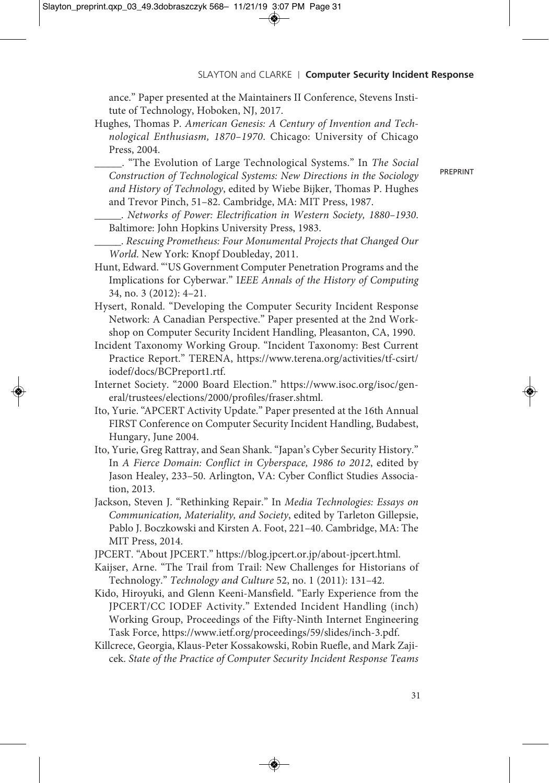ance." Paper presented at the Maintainers II Conference, Stevens Institute of Technology, Hoboken, NJ, 2017.

- Hughes, Thomas P. *American Genesis: A Century of Invention and Technological Enthusiasm, 1870–1970*. Chicago: University of Chicago Press, 2004.
	- \_\_\_\_\_. "The Evolution of Large Technological Systems." In *The Social Construction of Technological Systems: New Directions in the Sociology and History of Technology*, edited by Wiebe Bijker, Thomas P. Hughes and Trevor Pinch, 51–82. Cambridge, MA: MIT Press, 1987.
	- \_\_\_\_\_. *Networks of Power: Electrification in Western Society, 1880–1930*. Baltimore: John Hopkins University Press, 1983.
	- \_\_\_\_\_. *Rescuing Prometheus: Four Monumental Projects that Changed Our World*. New York: Knopf Doubleday, 2011.
- Hunt, Edward."'US Government Computer Penetration Programs and the Implications for Cyberwar." I*EEE Annals of the History of Computing* 34, no. 3 (2012): 4–21.
- Hysert, Ronald. "Developing the Computer Security Incident Response Network: A Canadian Perspective." Paper presented at the 2nd Workshop on Computer Security Incident Handling, Pleasanton, CA, 1990.
- Incident Taxonomy Working Group. "Incident Taxonomy: Best Current Practice Report." TERENA, https://www.terena.org/activities/tf-csirt/ iodef/docs/BCPreport1.rtf.
- Internet Society. "2000 Board Election." https://www.isoc.org/isoc/general/trustees/elections/2000/profiles/fraser.shtml.
- Ito, Yurie. "APCERT Activity Update." Paper presented at the 16th Annual FIRST Conference on Computer Security Incident Handling, Budabest, Hungary, June 2004.
- Ito, Yurie, Greg Rattray, and Sean Shank. "Japan's Cyber Security History." In *A Fierce Domain: Conflict in Cyberspace, 1986 to 2012*, edited by Jason Healey, 233–50. Arlington, VA: Cyber Conflict Studies Association, 2013.
- Jackson, Steven J. "Rethinking Repair." In *Media Technologies: Essays on Communication, Materiality, and Society*, edited by Tarleton Gillepsie, Pablo J. Boczkowski and Kirsten A. Foot, 221–40. Cambridge, MA: The MIT Press, 2014.
- JPCERT. "About JPCERT." https://blog.jpcert.or.jp/about-jpcert.html.
- Kaijser, Arne. "The Trail from Trail: New Challenges for Historians of Technology." *Technology and Culture* 52, no. 1 (2011): 131–42.
- Kido, Hiroyuki, and Glenn Keeni-Mansfield. "Early Experience from the JPCERT/CC IODEF Activity." Extended Incident Handling (inch) Working Group, Proceedings of the Fifty-Ninth Internet Engineering Task Force, https://www.ietf.org/proceedings/59/slides/inch-3.pdf.
- Killcrece, Georgia, Klaus-Peter Kossakowski, Robin Ruefle, and Mark Zajicek. *State of the Practice of Computer Security Incident Response Teams*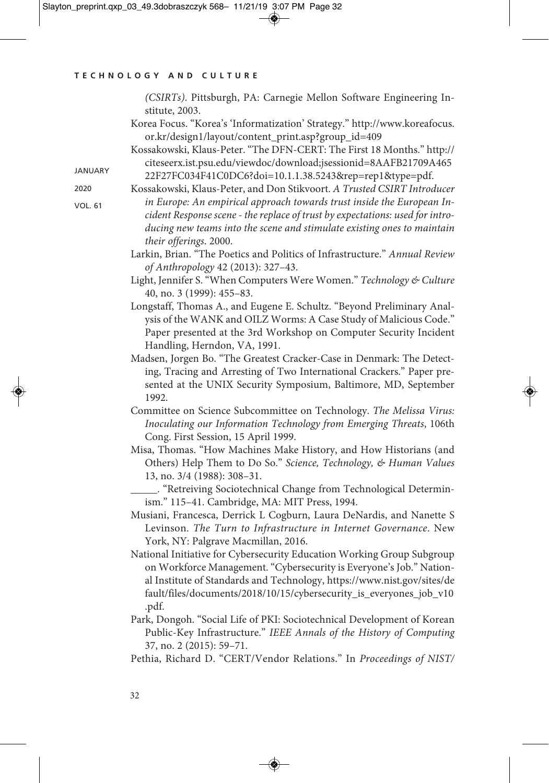|                | (CSIRTs). Pittsburgh, PA: Carnegie Mellon Software Engineering In-<br>stitute, 2003.                                                                                                                                                                                                                                                       |
|----------------|--------------------------------------------------------------------------------------------------------------------------------------------------------------------------------------------------------------------------------------------------------------------------------------------------------------------------------------------|
| <b>JANUARY</b> | Korea Focus. "Korea's 'Informatization' Strategy." http://www.koreafocus.<br>or.kr/design1/layout/content_print.asp?group_id=409<br>Kossakowski, Klaus-Peter. "The DFN-CERT: The First 18 Months." http://<br>citeseerx.ist.psu.edu/viewdoc/download;jsessionid=8AAFB21709A465<br>22F27FC034F41C0DC6?doi=10.1.1.38.5243&rep=rep1&type=pdf. |
| 2020           | Kossakowski, Klaus-Peter, and Don Stikvoort. A Trusted CSIRT Introducer                                                                                                                                                                                                                                                                    |
| <b>VOL. 61</b> | in Europe: An empirical approach towards trust inside the European In-<br>cident Response scene - the replace of trust by expectations: used for intro-<br>ducing new teams into the scene and stimulate existing ones to maintain<br>their offerings. 2000.                                                                               |
|                | Larkin, Brian. "The Poetics and Politics of Infrastructure." Annual Review<br>of Anthropology 42 (2013): 327-43.                                                                                                                                                                                                                           |
|                | Light, Jennifer S. "When Computers Were Women." Technology & Culture<br>40, no. 3 (1999): 455-83.                                                                                                                                                                                                                                          |
|                | Longstaff, Thomas A., and Eugene E. Schultz. "Beyond Preliminary Anal-<br>ysis of the WANK and OILZ Worms: A Case Study of Malicious Code."<br>Paper presented at the 3rd Workshop on Computer Security Incident<br>Handling, Herndon, VA, 1991.                                                                                           |
|                | Madsen, Jorgen Bo. "The Greatest Cracker-Case in Denmark: The Detect-<br>ing, Tracing and Arresting of Two International Crackers." Paper pre-<br>sented at the UNIX Security Symposium, Baltimore, MD, September<br>1992.                                                                                                                 |
|                | Committee on Science Subcommittee on Technology. The Melissa Virus:<br>Inoculating our Information Technology from Emerging Threats, 106th<br>Cong. First Session, 15 April 1999.                                                                                                                                                          |
|                | Misa, Thomas. "How Machines Make History, and How Historians (and<br>Others) Help Them to Do So." Science, Technology, & Human Values<br>13, no. 3/4 (1988): 308-31.                                                                                                                                                                       |
|                | __. "Retreiving Sociotechnical Change from Technological Determin-<br>ism." 115-41. Cambridge, MA: MIT Press, 1994.                                                                                                                                                                                                                        |
|                | Musiani, Francesca, Derrick L Cogburn, Laura DeNardis, and Nanette S<br>Levinson. The Turn to Infrastructure in Internet Governance. New<br>York, NY: Palgrave Macmillan, 2016.                                                                                                                                                            |
|                | National Initiative for Cybersecurity Education Working Group Subgroup<br>on Workforce Management. "Cybersecurity is Everyone's Job." Nation-<br>al Institute of Standards and Technology, https://www.nist.gov/sites/de<br>fault/files/documents/2018/10/15/cybersecurity_is_everyones_job_v10<br>.pdf.                                   |
|                | Park, Dongoh. "Social Life of PKI: Sociotechnical Development of Korean<br>Public-Key Infrastructure." IEEE Annals of the History of Computing<br>37, no. 2 (2015): 59-71.                                                                                                                                                                 |
|                | Pethia, Richard D. "CERT/Vendor Relations." In Proceedings of NIST/                                                                                                                                                                                                                                                                        |

 $\bigcirc$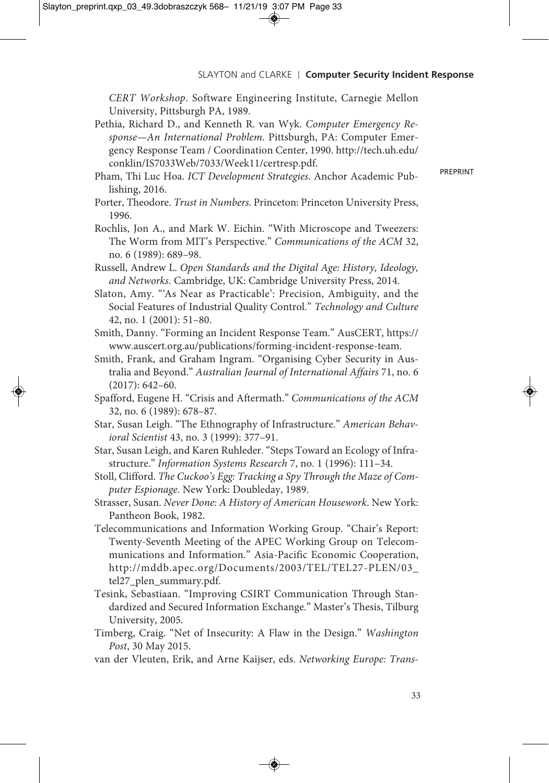*CERT Workshop*. Software Engineering Institute, Carnegie Mellon University, Pittsburgh PA, 1989.

- Pethia, Richard D., and Kenneth R. van Wyk. *Computer Emergency Response—An International Problem*. Pittsburgh, PA: Computer Emergency Response Team / Coordination Center, 1990. http://tech.uh.edu/ conklin/IS7033Web/7033/Week11/certresp.pdf.
- Pham, Thi Luc Hoa. *ICT Development Strategies*. Anchor Academic Publishing, 2016.
- Porter, Theodore. *Trust in Numbers*. Princeton: Princeton University Press, 1996.
- Rochlis, Jon A., and Mark W. Eichin. "With Microscope and Tweezers: The Worm from MIT's Perspective." *Communications of the ACM* 32, no. 6 (1989): 689–98.
- Russell, Andrew L. *Open Standards and the Digital Age: History, Ideology, and Networks*. Cambridge, UK: Cambridge University Press, 2014.
- Slaton, Amy. "'As Near as Practicable': Precision, Ambiguity, and the Social Features of Industrial Quality Control." *Technology and Culture* 42, no. 1 (2001): 51–80.
- Smith, Danny. "Forming an Incident Response Team." AusCERT, https:// www.auscert.org.au/publications/forming-incident-response-team.
- Smith, Frank, and Graham Ingram. "Organising Cyber Security in Australia and Beyond." *Australian Journal of International Affairs* 71, no. 6 (2017): 642–60.
- Spafford, Eugene H. "Crisis and Aftermath." *Communications of the ACM* 32, no. 6 (1989): 678–87.
- Star, Susan Leigh. "The Ethnography of Infrastructure." *American Behavioral Scientist* 43, no. 3 (1999): 377–91.
- Star, Susan Leigh, and Karen Ruhleder. "Steps Toward an Ecology of Infrastructure." *Information Systems Research* 7, no. 1 (1996): 111–34.
- Stoll, Clifford. *The Cuckoo's Egg: Tracking a Spy Through the Maze of Computer Espionage*. New York: Doubleday, 1989.
- Strasser, Susan. *Never Done: A History of American Housework*. New York: Pantheon Book, 1982.
- Telecommunications and Information Working Group. "Chair's Report: Twenty-Seventh Meeting of the APEC Working Group on Telecommunications and Information." Asia-Pacific Economic Cooperation, http://mddb.apec.org/Documents/2003/TEL/TEL27-PLEN/03\_ tel27\_plen\_summary.pdf.
- Tesink, Sebastiaan. "Improving CSIRT Communication Through Standardized and Secured Information Exchange." Master's Thesis, Tilburg University, 2005.
- Timberg, Craig. "Net of Insecurity: A Flaw in the Design." *Washington Post*, 30 May 2015.
- van der Vleuten, Erik, and Arne Kaijser, eds. *Networking Europe: Trans-*